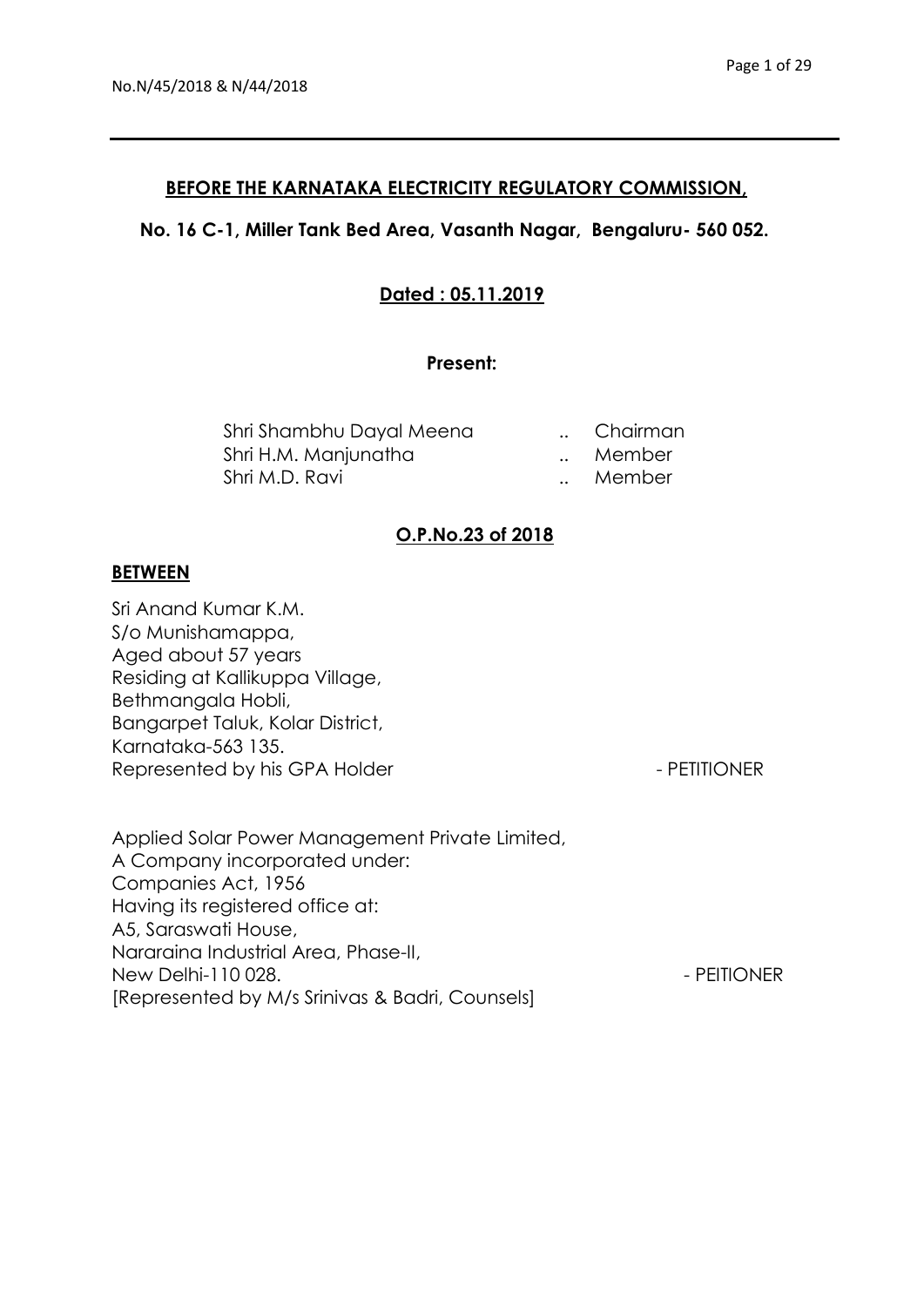### **BEFORE THE KARNATAKA ELECTRICITY REGULATORY COMMISSION,**

## **No. 16 C-1, Miller Tank Bed Area, Vasanth Nagar, Bengaluru- 560 052.**

## **Dated : 05.11.2019**

### **Present:**

| Shri Shambhu Dayal Meena | Chairman |
|--------------------------|----------|
| Shri H.M. Manjunatha     | Member   |
| Shri M.D. Ravi           | Member   |

### **O.P.No.23 of 2018**

#### **BETWEEN**

Sri Anand Kumar K.M. S/o Munishamappa, Aged about 57 years Residing at Kallikuppa Village, Bethmangala Hobli, Bangarpet Taluk, Kolar District, Karnataka-563 135. Represented by his GPA Holder - PETITIONER

Applied Solar Power Management Private Limited, A Company incorporated under: Companies Act, 1956 Having its registered office at: A5, Saraswati House, Nararaina Industrial Area, Phase-II, New Delhi-110 028. And the state of the state of the PEITIONER Services of the PEITIONER [Represented by M/s Srinivas & Badri, Counsels]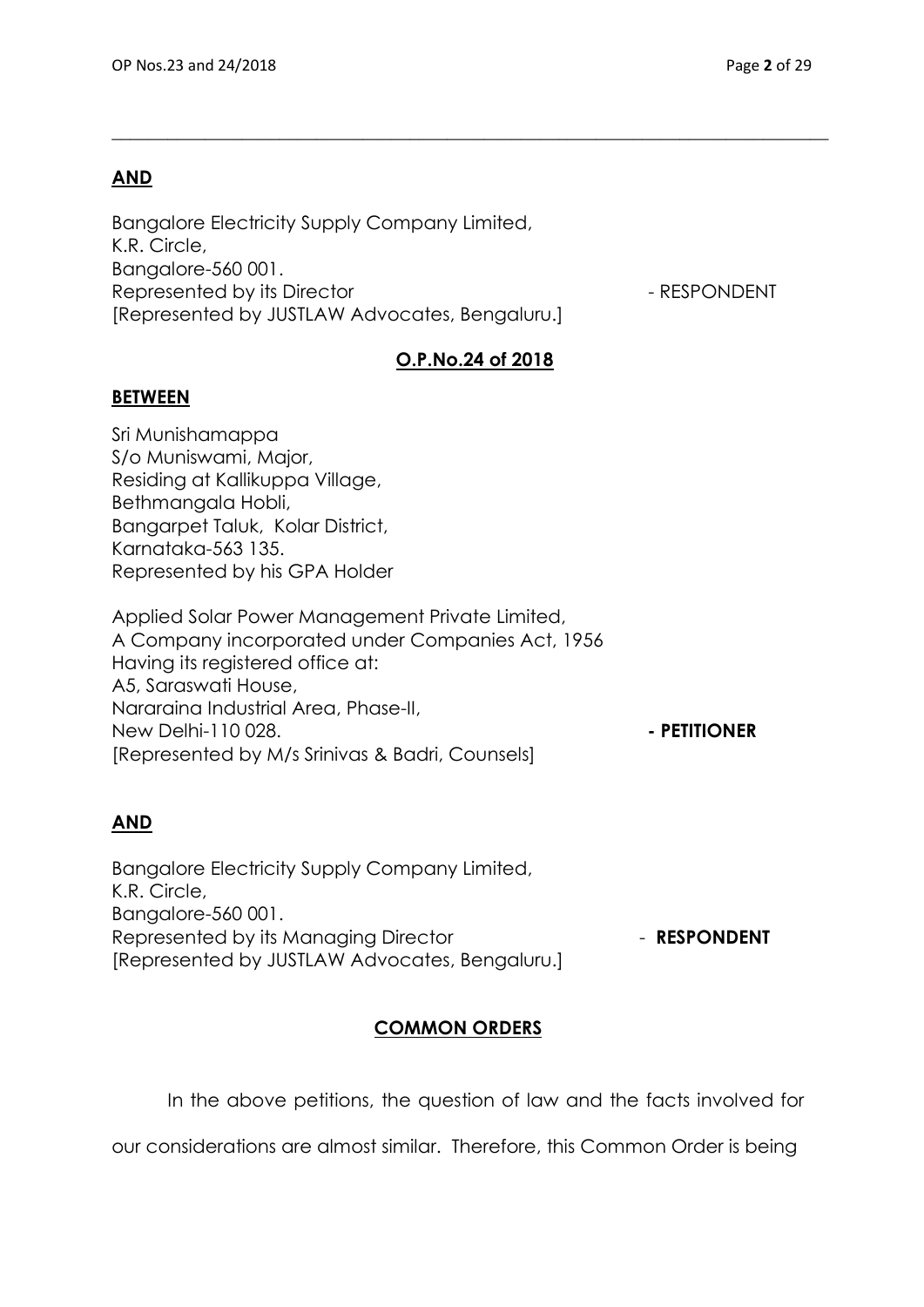# **AND**

Bangalore Electricity Supply Company Limited, K.R. Circle, Bangalore-560 001. Represented by its Director  $\blacksquare$ [Represented by JUSTLAW Advocates, Bengaluru.]

# **O.P.No.24 of 2018**

 $\_$  , and the set of the set of the set of the set of the set of the set of the set of the set of the set of the set of the set of the set of the set of the set of the set of the set of the set of the set of the set of th

### **BETWEEN**

Sri Munishamappa S/o Muniswami, Major, Residing at Kallikuppa Village, Bethmangala Hobli, Bangarpet Taluk, Kolar District, Karnataka-563 135. Represented by his GPA Holder

Applied Solar Power Management Private Limited, A Company incorporated under Companies Act, 1956 Having its registered office at: A5, Saraswati House, Nararaina Industrial Area, Phase-II, New Delhi-110 028. **- PETITIONER** [Represented by M/s Srinivas & Badri, Counsels]

## **AND**

Bangalore Electricity Supply Company Limited, K.R. Circle, Bangalore-560 001. Represented by its Managing Director **Fig. 2018** - **RESPONDENT** [Represented by JUSTLAW Advocates, Bengaluru.]

# **COMMON ORDERS**

In the above petitions, the question of law and the facts involved for

our considerations are almost similar. Therefore, this Common Order is being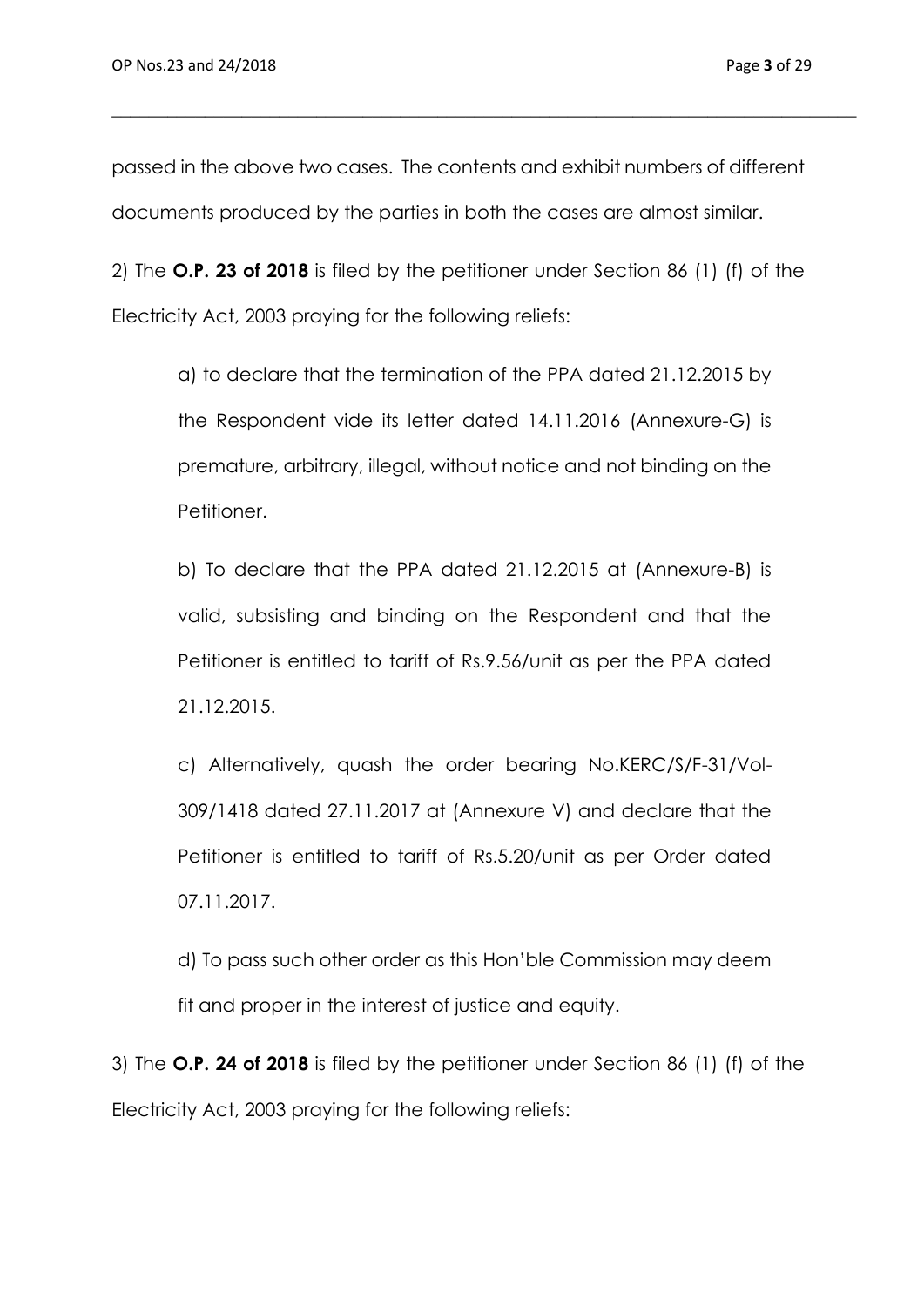passed in the above two cases. The contents and exhibit numbers of different documents produced by the parties in both the cases are almost similar.

\_\_\_\_\_\_\_\_\_\_\_\_\_\_\_\_\_\_\_\_\_\_\_\_\_\_\_\_\_\_\_\_\_\_\_\_\_\_\_\_\_\_\_\_\_\_\_\_\_\_\_\_\_\_\_\_\_\_\_\_\_\_\_\_\_\_\_\_\_\_\_\_\_\_\_\_\_\_\_\_

2) The **O.P. 23 of 2018** is filed by the petitioner under Section 86 (1) (f) of the Electricity Act, 2003 praying for the following reliefs:

a) to declare that the termination of the PPA dated 21.12.2015 by the Respondent vide its letter dated 14.11.2016 (Annexure-G) is premature, arbitrary, illegal, without notice and not binding on the Petitioner.

b) To declare that the PPA dated 21.12.2015 at (Annexure-B) is valid, subsisting and binding on the Respondent and that the Petitioner is entitled to tariff of Rs.9.56/unit as per the PPA dated 21.12.2015.

c) Alternatively, quash the order bearing No.KERC/S/F-31/Vol-309/1418 dated 27.11.2017 at (Annexure V) and declare that the Petitioner is entitled to tariff of Rs.5.20/unit as per Order dated 07.11.2017.

d) To pass such other order as this Hon'ble Commission may deem fit and proper in the interest of justice and equity.

3) The **O.P. 24 of 2018** is filed by the petitioner under Section 86 (1) (f) of the Electricity Act, 2003 praying for the following reliefs: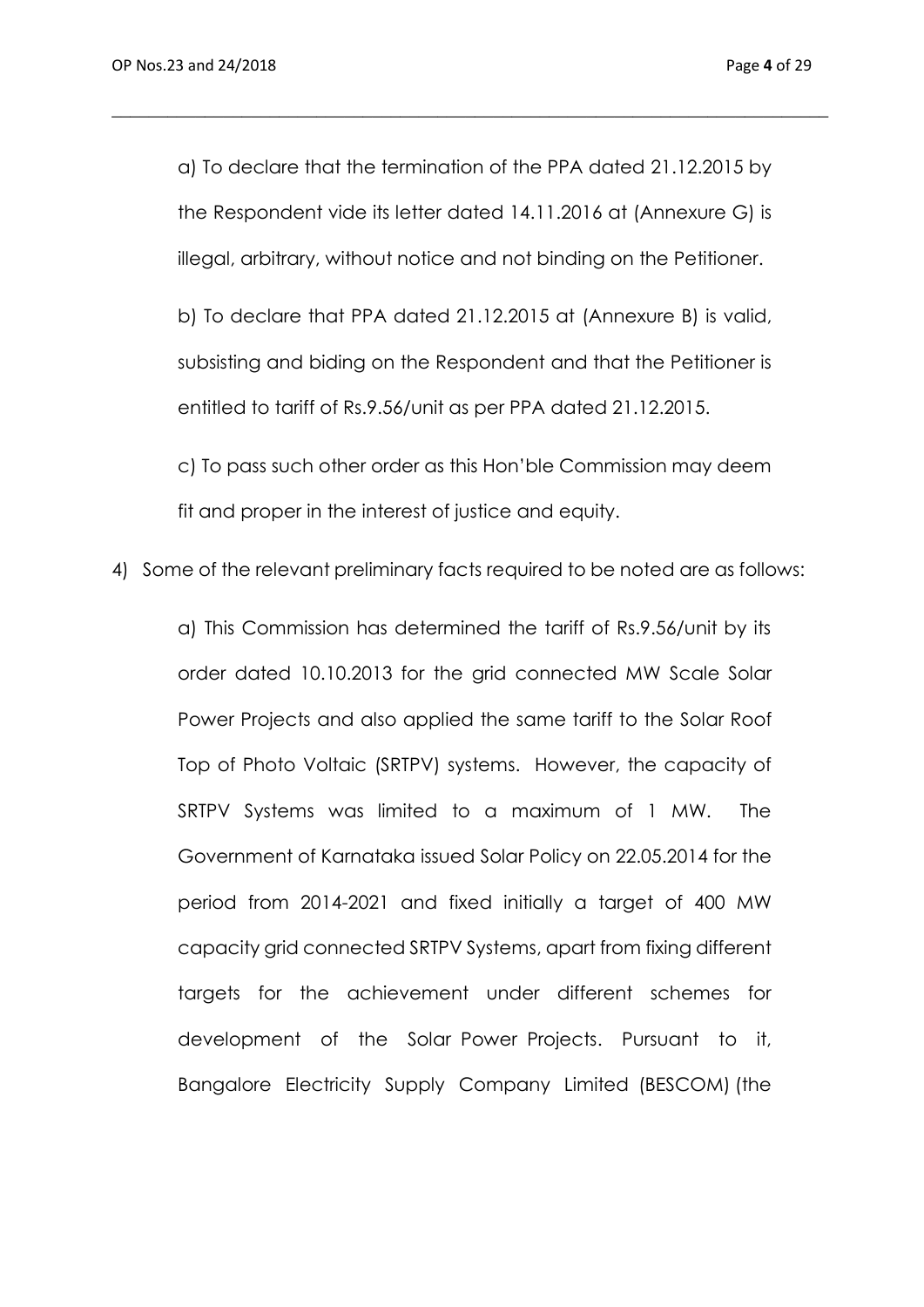a) To declare that the termination of the PPA dated 21.12.2015 by the Respondent vide its letter dated 14.11.2016 at (Annexure G) is illegal, arbitrary, without notice and not binding on the Petitioner.

\_\_\_\_\_\_\_\_\_\_\_\_\_\_\_\_\_\_\_\_\_\_\_\_\_\_\_\_\_\_\_\_\_\_\_\_\_\_\_\_\_\_\_\_\_\_\_\_\_\_\_\_\_\_\_\_\_\_\_\_\_\_\_\_\_\_\_\_\_\_\_\_\_\_\_\_\_

b) To declare that PPA dated 21.12.2015 at (Annexure B) is valid, subsisting and biding on the Respondent and that the Petitioner is entitled to tariff of Rs.9.56/unit as per PPA dated 21.12.2015.

c) To pass such other order as this Hon'ble Commission may deem fit and proper in the interest of justice and equity.

4) Some of the relevant preliminary facts required to be noted are as follows:

a) This Commission has determined the tariff of Rs.9.56/unit by its order dated 10.10.2013 for the grid connected MW Scale Solar Power Projects and also applied the same tariff to the Solar Roof Top of Photo Voltaic (SRTPV) systems. However, the capacity of SRTPV Systems was limited to a maximum of 1 MW. The Government of Karnataka issued Solar Policy on 22.05.2014 for the period from 2014-2021 and fixed initially a target of 400 MW capacity grid connected SRTPV Systems, apart from fixing different targets for the achievement under different schemes for development of the Solar Power Projects. Pursuant to it, Bangalore Electricity Supply Company Limited (BESCOM) (the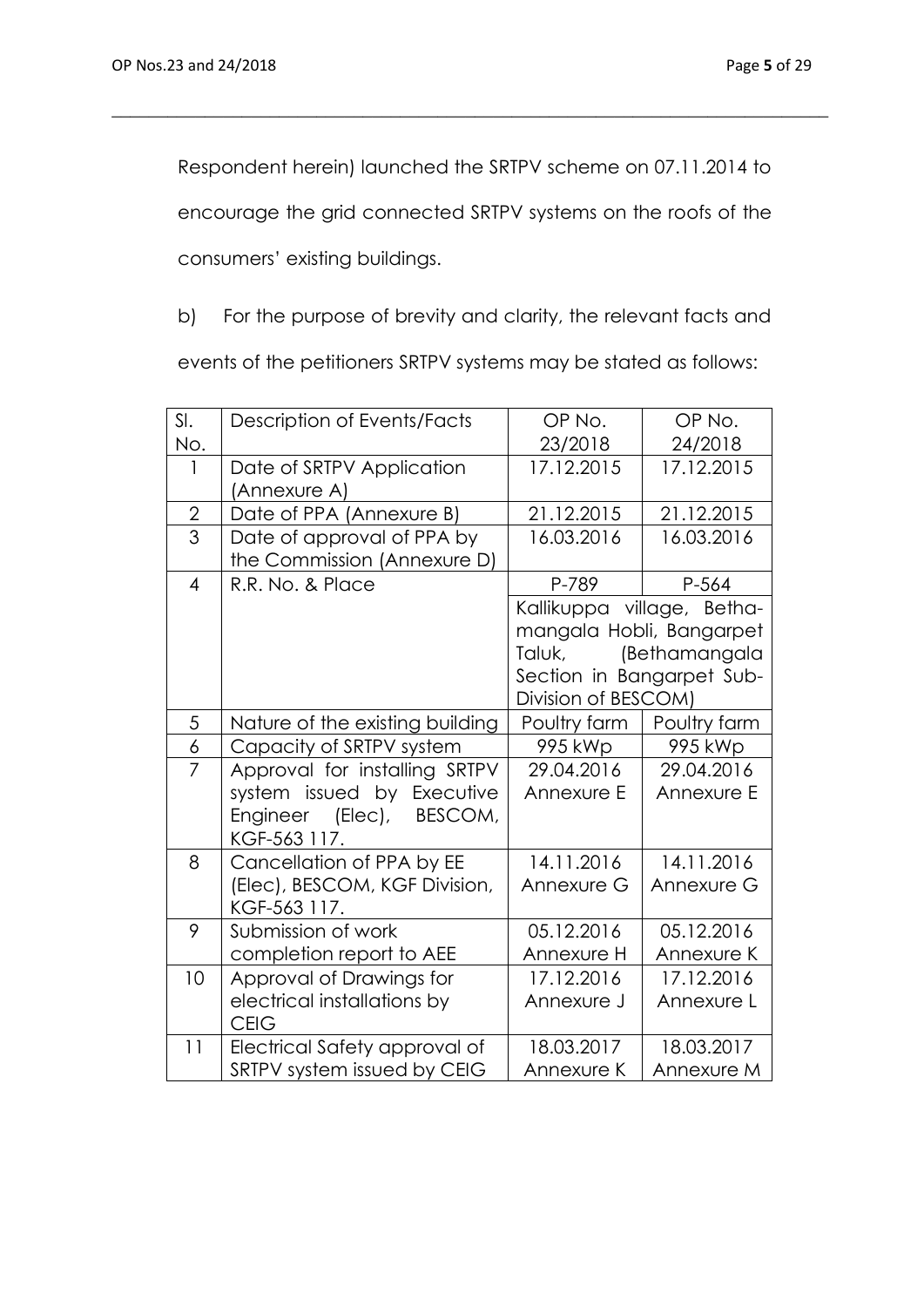Respondent herein) launched the SRTPV scheme on 07.11.2014 to

\_\_\_\_\_\_\_\_\_\_\_\_\_\_\_\_\_\_\_\_\_\_\_\_\_\_\_\_\_\_\_\_\_\_\_\_\_\_\_\_\_\_\_\_\_\_\_\_\_\_\_\_\_\_\_\_\_\_\_\_\_\_\_\_\_\_\_\_\_\_\_\_\_\_\_\_\_

encourage the grid connected SRTPV systems on the roofs of the

consumers' existing buildings.

b) For the purpose of brevity and clarity, the relevant facts and

events of the petitioners SRTPV systems may be stated as follows:

| SI.            | Description of Events/Facts     | OP No.                     | OP No.       |
|----------------|---------------------------------|----------------------------|--------------|
| No.            |                                 | 23/2018                    | 24/2018      |
| 1              | Date of SRTPV Application       | 17.12.2015                 | 17.12.2015   |
|                | (Annexure A)                    |                            |              |
| $\sqrt{2}$     | Date of PPA (Annexure B)        | 21.12.2015                 | 21.12.2015   |
| $\overline{3}$ | Date of approval of PPA by      | 16.03.2016                 | 16.03.2016   |
|                | the Commission (Annexure D)     |                            |              |
| $\overline{4}$ | R.R. No. & Place                | P-789                      | P-564        |
|                |                                 | Kallikuppa village, Betha- |              |
|                |                                 | mangala Hobli, Bangarpet   |              |
|                |                                 | (Bethamangala<br>Taluk,    |              |
|                |                                 | Section in Bangarpet Sub-  |              |
|                |                                 | Division of BESCOM)        |              |
| 5              | Nature of the existing building | Poultry farm               | Poultry farm |
| 6              | Capacity of SRTPV system        | 995 kWp                    | 995 kWp      |
| 7              | Approval for installing SRTPV   | 29.04.2016                 | 29.04.2016   |
|                | system issued by Executive      | Annexure E                 | Annexure E   |
|                | Engineer (Elec), BESCOM,        |                            |              |
|                | KGF-563 117.                    |                            |              |
| 8              | Cancellation of PPA by EE       | 14.11.2016                 | 14.11.2016   |
|                | (Elec), BESCOM, KGF Division,   | Annexure G                 | Annexure G   |
|                | KGF-563 117.                    |                            |              |
| 9              | Submission of work              | 05.12.2016                 | 05.12.2016   |
|                | completion report to AEE        | Annexure H                 | Annexure K   |
| 10             | Approval of Drawings for        | 17.12.2016                 | 17.12.2016   |
|                | electrical installations by     | Annexure J                 | Annexure L   |
|                | <b>CEIG</b>                     |                            |              |
| 11             | Electrical Safety approval of   | 18.03.2017                 | 18.03.2017   |
|                | SRTPV system issued by CEIG     | Annexure K                 | Annexure M   |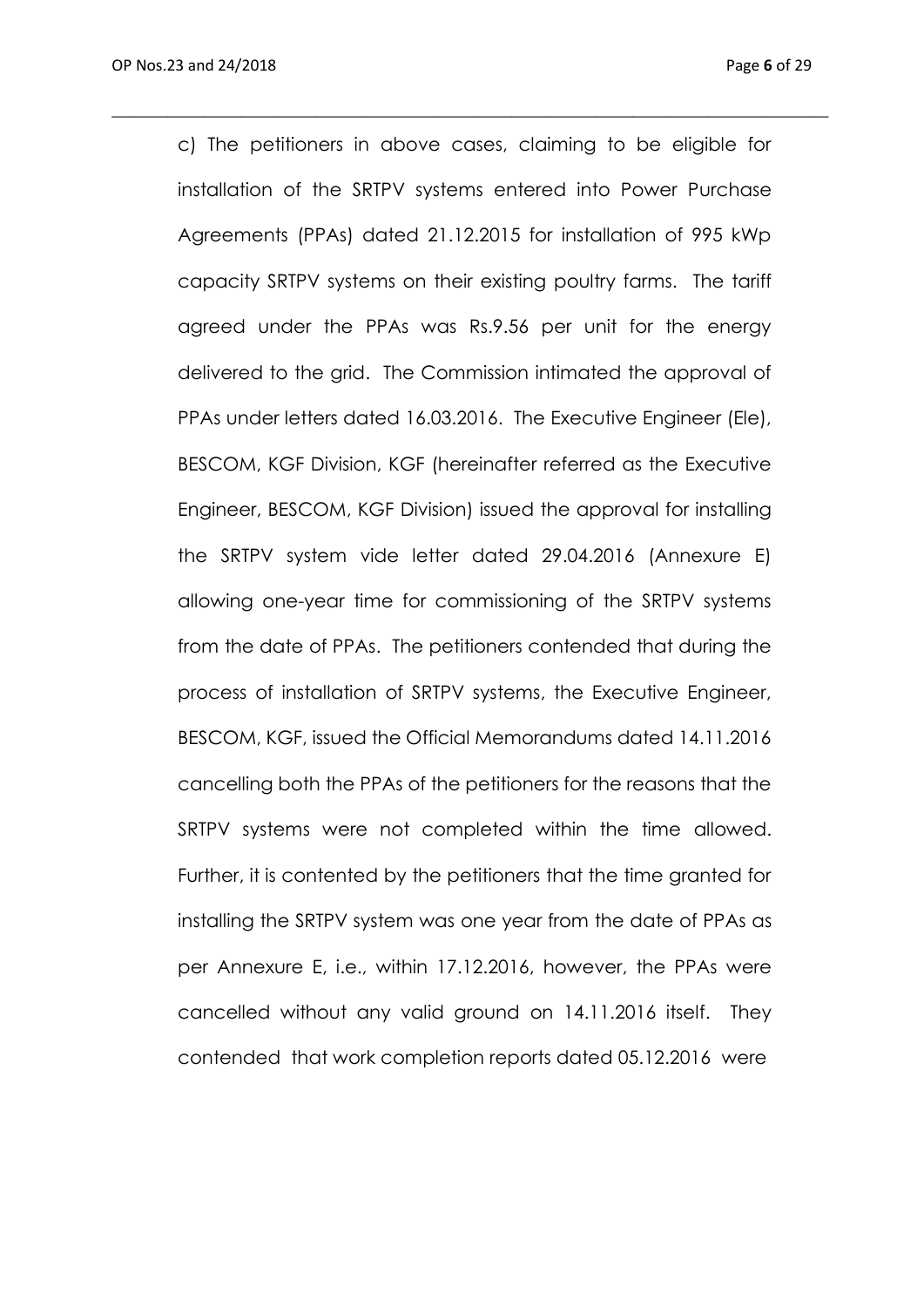c) The petitioners in above cases, claiming to be eligible for installation of the SRTPV systems entered into Power Purchase Agreements (PPAs) dated 21.12.2015 for installation of 995 kWp capacity SRTPV systems on their existing poultry farms. The tariff agreed under the PPAs was Rs.9.56 per unit for the energy delivered to the grid. The Commission intimated the approval of PPAs under letters dated 16.03.2016. The Executive Engineer (Ele), BESCOM, KGF Division, KGF (hereinafter referred as the Executive Engineer, BESCOM, KGF Division) issued the approval for installing the SRTPV system vide letter dated 29.04.2016 (Annexure E) allowing one-year time for commissioning of the SRTPV systems from the date of PPAs. The petitioners contended that during the process of installation of SRTPV systems, the Executive Engineer, BESCOM, KGF, issued the Official Memorandums dated 14.11.2016 cancelling both the PPAs of the petitioners for the reasons that the SRTPV systems were not completed within the time allowed. Further, it is contented by the petitioners that the time granted for installing the SRTPV system was one year from the date of PPAs as per Annexure E, i.e., within 17.12.2016, however, the PPAs were cancelled without any valid ground on 14.11.2016 itself. They contended that work completion reports dated 05.12.2016 were

 $\_$  , and the set of the set of the set of the set of the set of the set of the set of the set of the set of the set of the set of the set of the set of the set of the set of the set of the set of the set of the set of th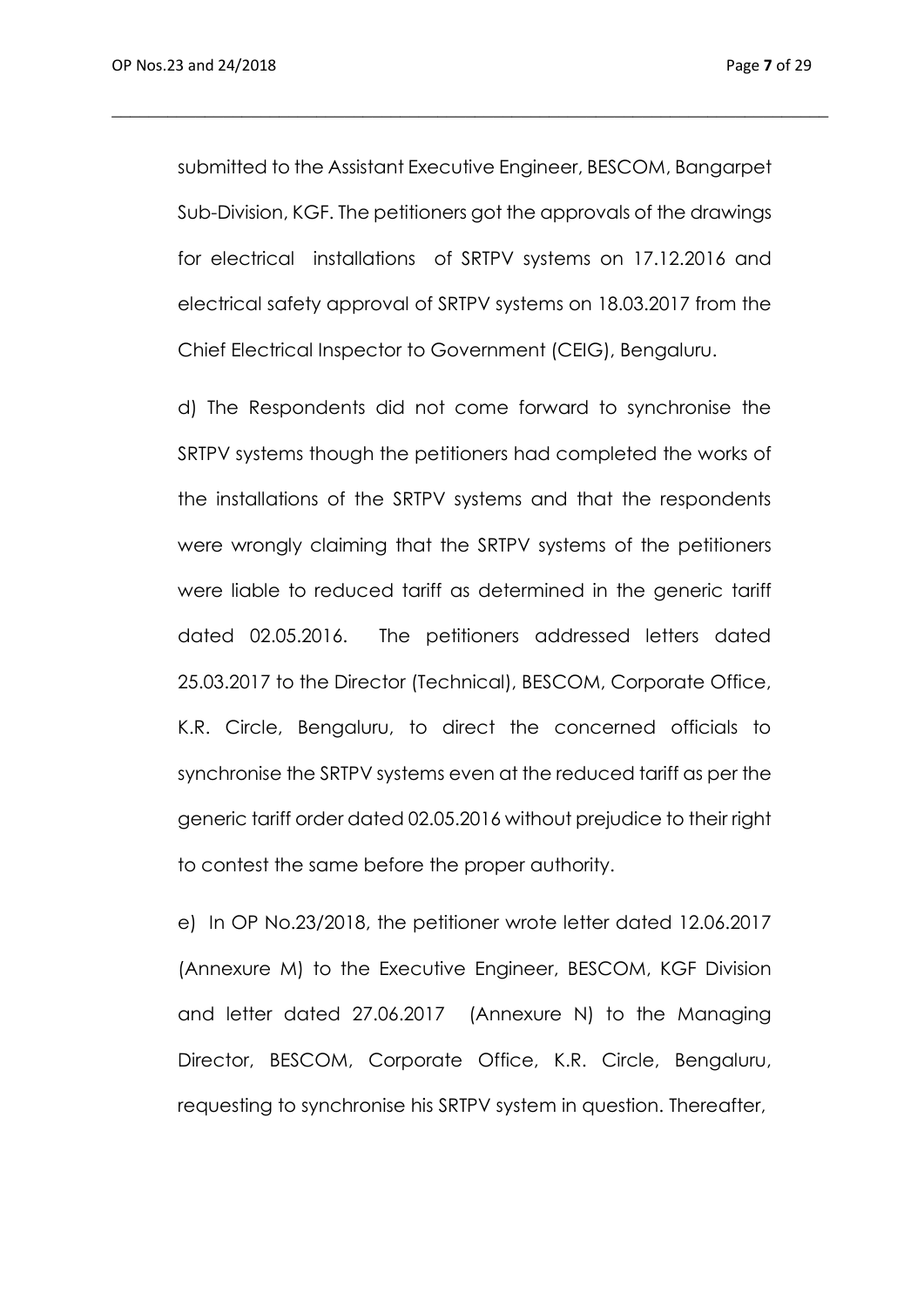submitted to the Assistant Executive Engineer, BESCOM, Bangarpet Sub-Division, KGF. The petitioners got the approvals of the drawings for electrical installations of SRTPV systems on 17.12.2016 and electrical safety approval of SRTPV systems on 18.03.2017 from the Chief Electrical Inspector to Government (CEIG), Bengaluru.

\_\_\_\_\_\_\_\_\_\_\_\_\_\_\_\_\_\_\_\_\_\_\_\_\_\_\_\_\_\_\_\_\_\_\_\_\_\_\_\_\_\_\_\_\_\_\_\_\_\_\_\_\_\_\_\_\_\_\_\_\_\_\_\_\_\_\_\_\_\_\_\_\_\_\_\_\_

d) The Respondents did not come forward to synchronise the SRTPV systems though the petitioners had completed the works of the installations of the SRTPV systems and that the respondents were wrongly claiming that the SRTPV systems of the petitioners were liable to reduced tariff as determined in the generic tariff dated 02.05.2016. The petitioners addressed letters dated 25.03.2017 to the Director (Technical), BESCOM, Corporate Office, K.R. Circle, Bengaluru, to direct the concerned officials to synchronise the SRTPV systems even at the reduced tariff as per the generic tariff order dated 02.05.2016 without prejudice to their right to contest the same before the proper authority.

e) In OP No.23/2018, the petitioner wrote letter dated 12.06.2017 (Annexure M) to the Executive Engineer, BESCOM, KGF Division and letter dated 27.06.2017 (Annexure N) to the Managing Director, BESCOM, Corporate Office, K.R. Circle, Bengaluru, requesting to synchronise his SRTPV system in question. Thereafter,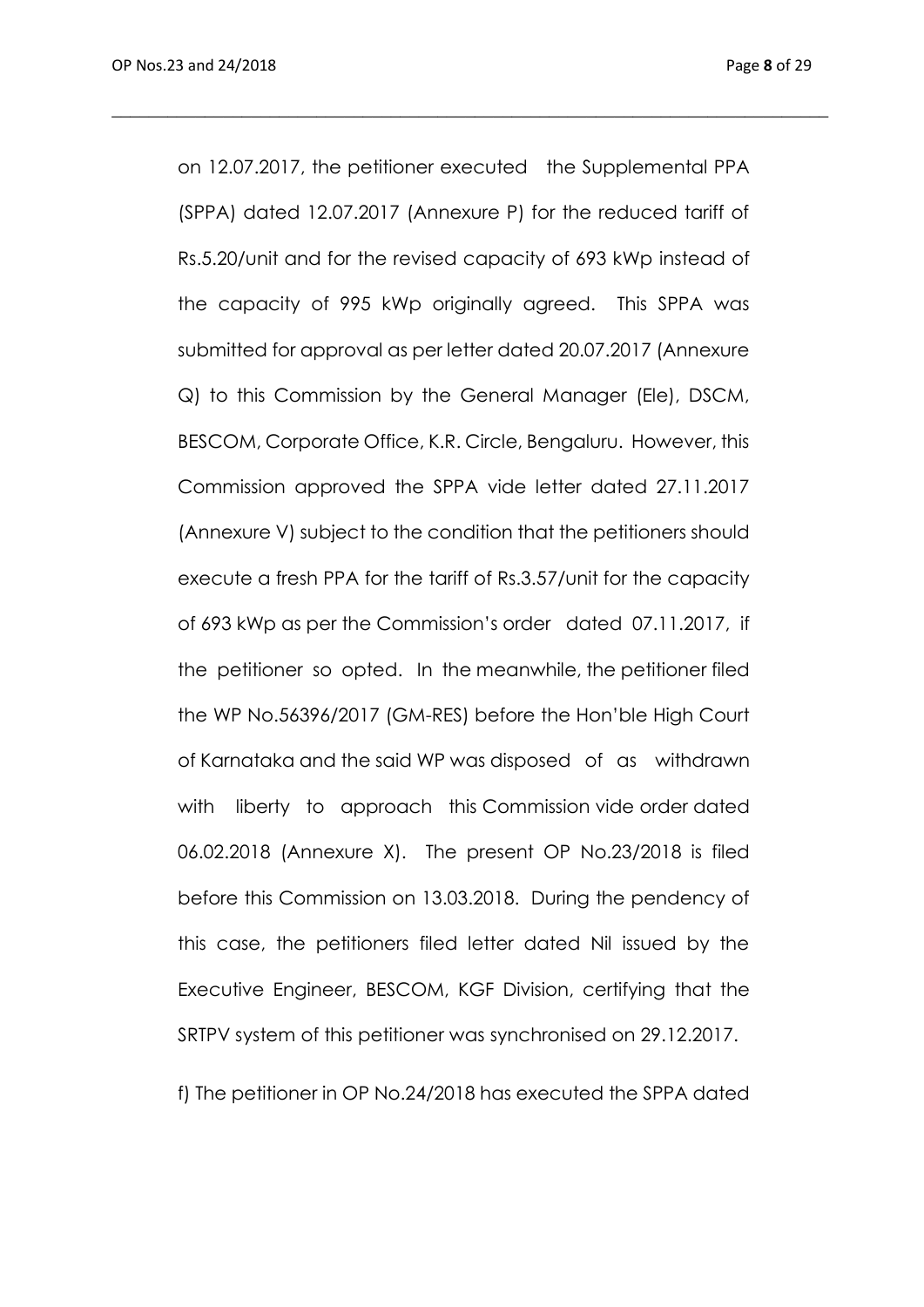on 12.07.2017, the petitioner executed the Supplemental PPA (SPPA) dated 12.07.2017 (Annexure P) for the reduced tariff of Rs.5.20/unit and for the revised capacity of 693 kWp instead of the capacity of 995 kWp originally agreed. This SPPA was submitted for approval as per letter dated 20.07.2017 (Annexure Q) to this Commission by the General Manager (Ele), DSCM, BESCOM, Corporate Office, K.R. Circle, Bengaluru. However, this Commission approved the SPPA vide letter dated 27.11.2017 (Annexure V) subject to the condition that the petitioners should execute a fresh PPA for the tariff of Rs.3.57/unit for the capacity of 693 kWp as per the Commission's order dated 07.11.2017, if the petitioner so opted. In the meanwhile, the petitioner filed the WP No.56396/2017 (GM-RES) before the Hon'ble High Court of Karnataka and the said WP was disposed of as withdrawn with liberty to approach this Commission vide order dated 06.02.2018 (Annexure X). The present OP No.23/2018 is filed before this Commission on 13.03.2018. During the pendency of this case, the petitioners filed letter dated Nil issued by the Executive Engineer, BESCOM, KGF Division, certifying that the SRTPV system of this petitioner was synchronised on 29.12.2017.

\_\_\_\_\_\_\_\_\_\_\_\_\_\_\_\_\_\_\_\_\_\_\_\_\_\_\_\_\_\_\_\_\_\_\_\_\_\_\_\_\_\_\_\_\_\_\_\_\_\_\_\_\_\_\_\_\_\_\_\_\_\_\_\_\_\_\_\_\_\_\_\_\_\_\_\_\_

f) The petitioner in OP No.24/2018 has executed the SPPA dated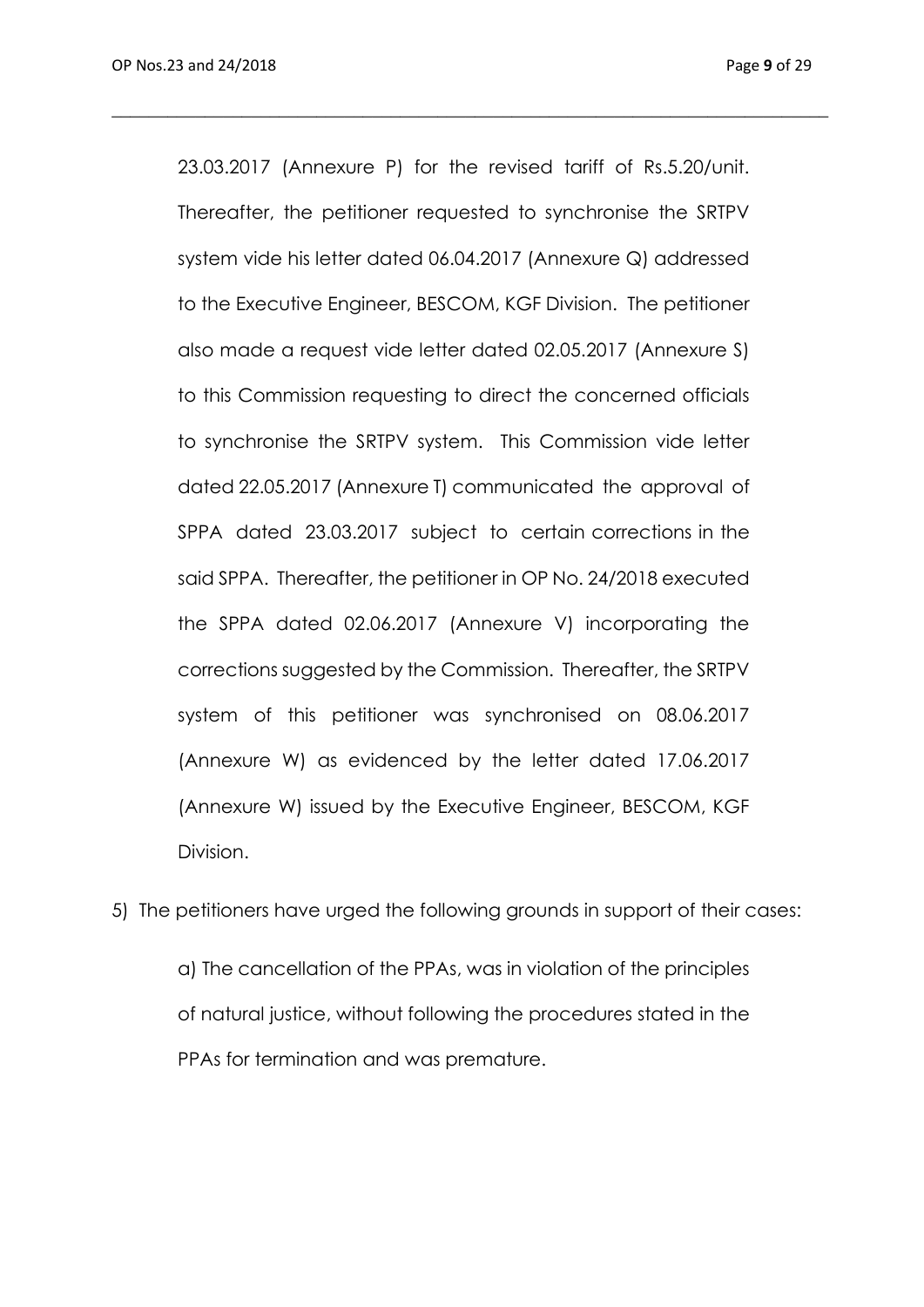23.03.2017 (Annexure P) for the revised tariff of Rs.5.20/unit. Thereafter, the petitioner requested to synchronise the SRTPV system vide his letter dated 06.04.2017 (Annexure Q) addressed to the Executive Engineer, BESCOM, KGF Division. The petitioner also made a request vide letter dated 02.05.2017 (Annexure S) to this Commission requesting to direct the concerned officials to synchronise the SRTPV system. This Commission vide letter dated 22.05.2017 (Annexure T) communicated the approval of SPPA dated 23.03.2017 subject to certain corrections in the said SPPA. Thereafter, the petitioner in OP No. 24/2018 executed the SPPA dated 02.06.2017 (Annexure V) incorporating the corrections suggested by the Commission. Thereafter, the SRTPV system of this petitioner was synchronised on 08.06.2017 (Annexure W) as evidenced by the letter dated 17.06.2017 (Annexure W) issued by the Executive Engineer, BESCOM, KGF Division.

\_\_\_\_\_\_\_\_\_\_\_\_\_\_\_\_\_\_\_\_\_\_\_\_\_\_\_\_\_\_\_\_\_\_\_\_\_\_\_\_\_\_\_\_\_\_\_\_\_\_\_\_\_\_\_\_\_\_\_\_\_\_\_\_\_\_\_\_\_\_\_\_\_\_\_\_\_

5) The petitioners have urged the following grounds in support of their cases:

a) The cancellation of the PPAs, was in violation of the principles of natural justice, without following the procedures stated in the PPAs for termination and was premature.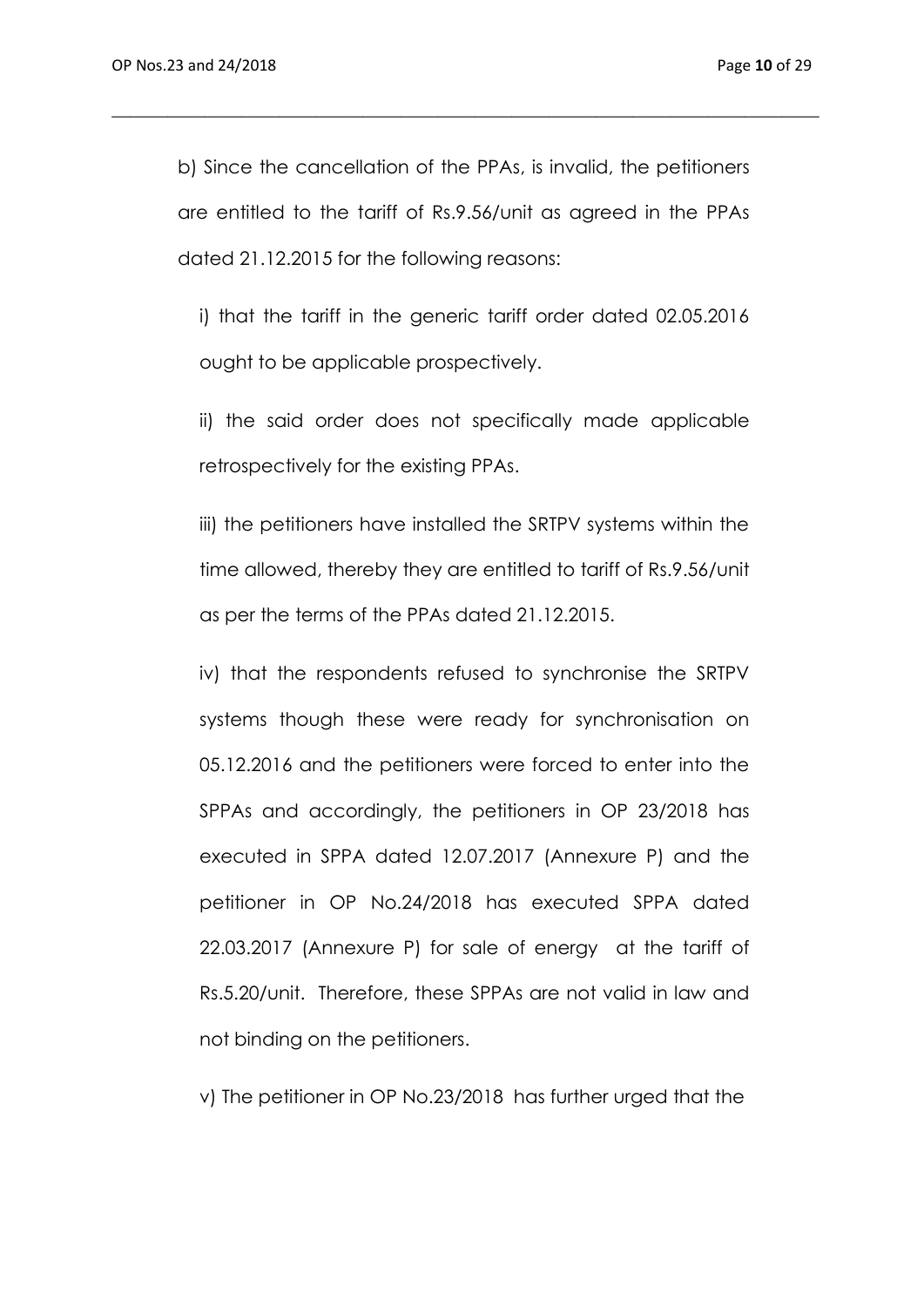b) Since the cancellation of the PPAs, is invalid, the petitioners are entitled to the tariff of Rs.9.56/unit as agreed in the PPAs dated 21.12.2015 for the following reasons:

\_\_\_\_\_\_\_\_\_\_\_\_\_\_\_\_\_\_\_\_\_\_\_\_\_\_\_\_\_\_\_\_\_\_\_\_\_\_\_\_\_\_\_\_\_\_\_\_\_\_\_\_\_\_\_\_\_\_\_\_\_\_\_\_\_\_\_\_\_\_\_\_\_\_\_\_

i) that the tariff in the generic tariff order dated 02.05.2016 ought to be applicable prospectively.

ii) the said order does not specifically made applicable retrospectively for the existing PPAs.

iii) the petitioners have installed the SRTPV systems within the time allowed, thereby they are entitled to tariff of Rs.9.56/unit as per the terms of the PPAs dated 21.12.2015.

iv) that the respondents refused to synchronise the SRTPV systems though these were ready for synchronisation on 05.12.2016 and the petitioners were forced to enter into the SPPAs and accordingly, the petitioners in OP 23/2018 has executed in SPPA dated 12.07.2017 (Annexure P) and the petitioner in OP No.24/2018 has executed SPPA dated 22.03.2017 (Annexure P) for sale of energy at the tariff of Rs.5.20/unit. Therefore, these SPPAs are not valid in law and not binding on the petitioners.

v) The petitioner in OP No.23/2018 has further urged that the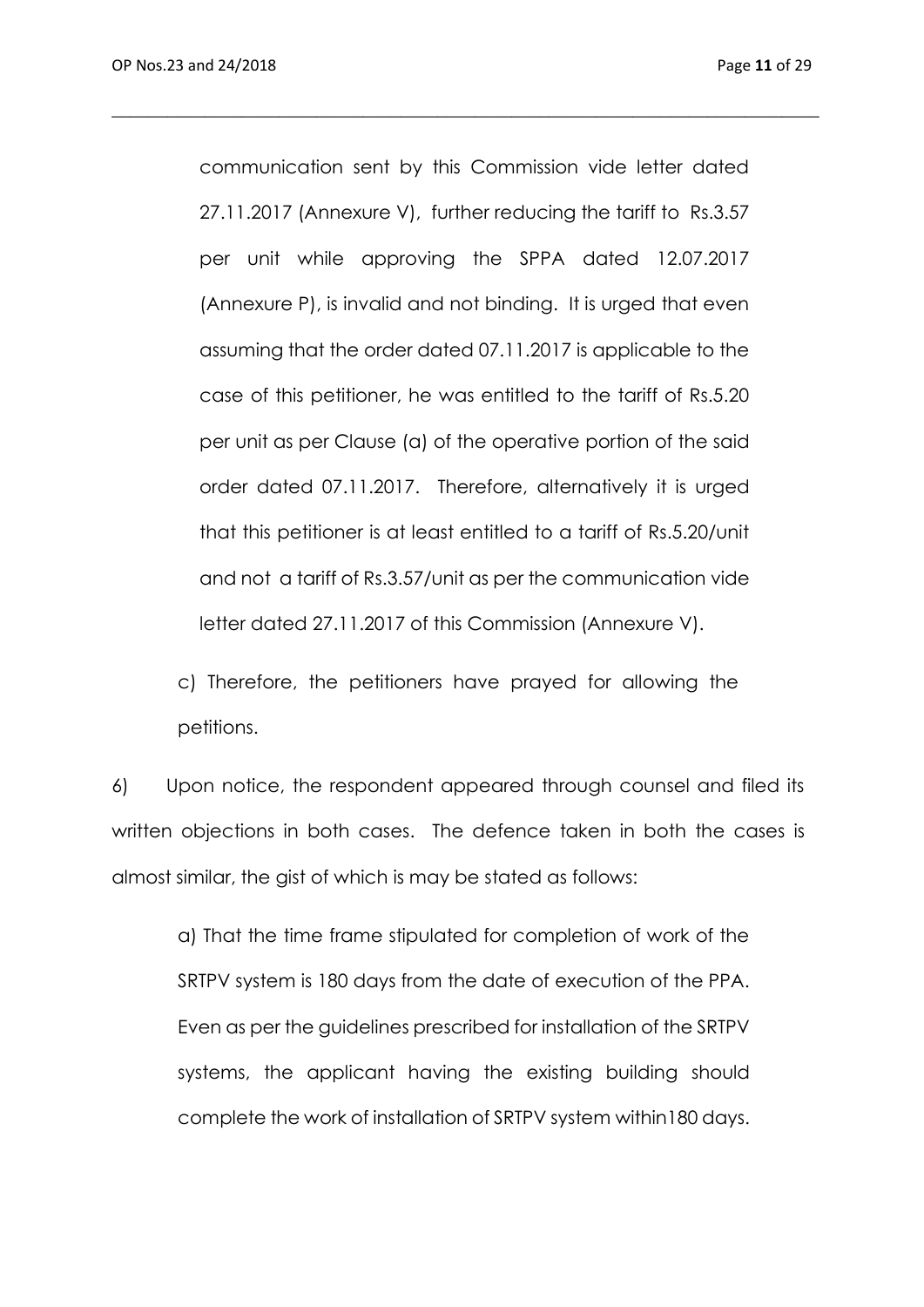communication sent by this Commission vide letter dated 27.11.2017 (Annexure V), further reducing the tariff to Rs.3.57 per unit while approving the SPPA dated 12.07.2017 (Annexure P), is invalid and not binding. It is urged that even assuming that the order dated 07.11.2017 is applicable to the case of this petitioner, he was entitled to the tariff of Rs.5.20 per unit as per Clause (a) of the operative portion of the said order dated 07.11.2017. Therefore, alternatively it is urged that this petitioner is at least entitled to a tariff of Rs.5.20/unit and not a tariff of Rs.3.57/unit as per the communication vide letter dated 27.11.2017 of this Commission (Annexure V).

\_\_\_\_\_\_\_\_\_\_\_\_\_\_\_\_\_\_\_\_\_\_\_\_\_\_\_\_\_\_\_\_\_\_\_\_\_\_\_\_\_\_\_\_\_\_\_\_\_\_\_\_\_\_\_\_\_\_\_\_\_\_\_\_\_\_\_\_\_\_\_\_\_\_\_\_

c) Therefore, the petitioners have prayed for allowing the petitions.

6) Upon notice, the respondent appeared through counsel and filed its written objections in both cases. The defence taken in both the cases is almost similar, the gist of which is may be stated as follows:

a) That the time frame stipulated for completion of work of the SRTPV system is 180 days from the date of execution of the PPA. Even as per the guidelines prescribed for installation of the SRTPV systems, the applicant having the existing building should complete the work of installation of SRTPV system within180 days.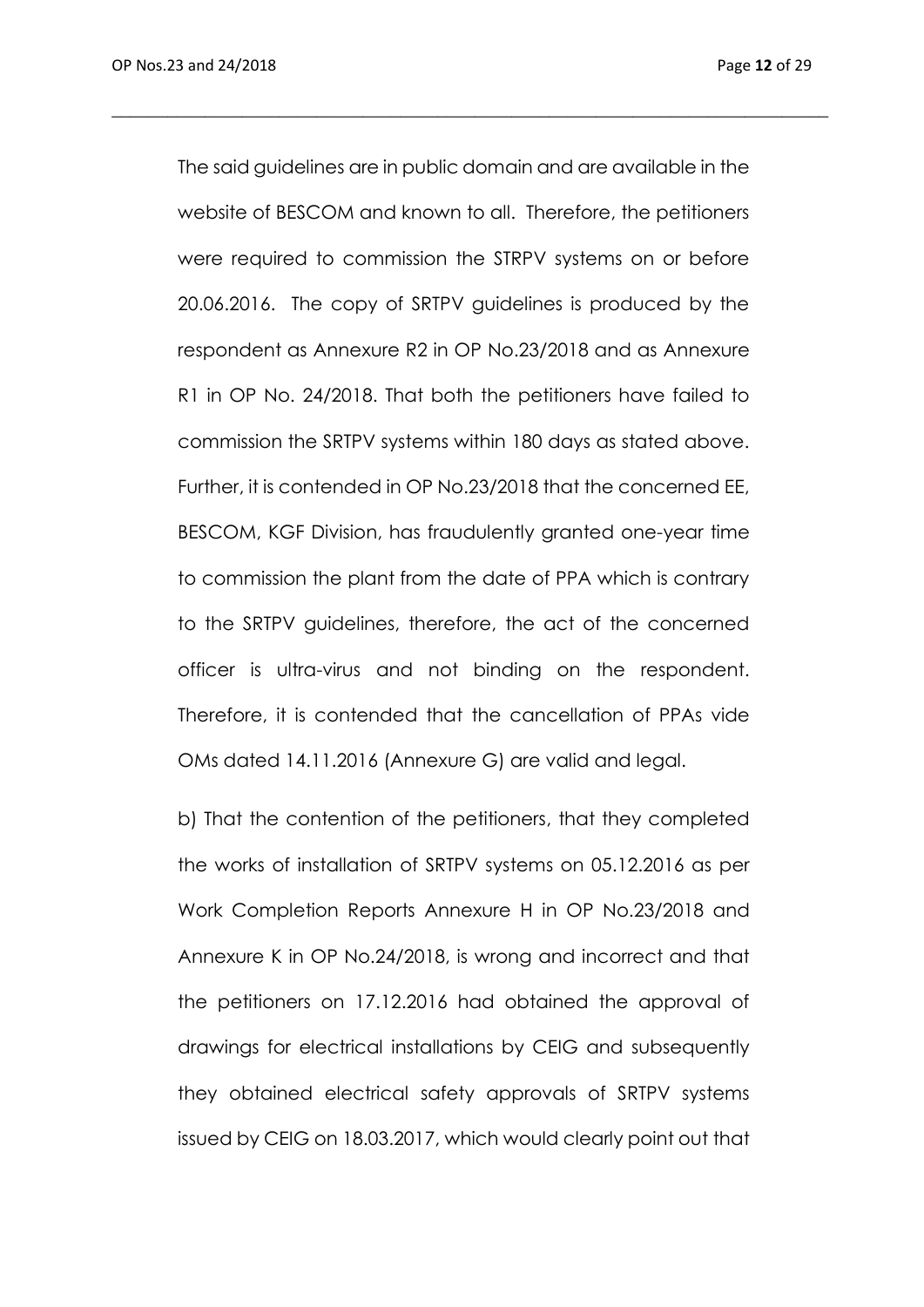The said guidelines are in public domain and are available in the website of BESCOM and known to all. Therefore, the petitioners were required to commission the STRPV systems on or before 20.06.2016. The copy of SRTPV guidelines is produced by the respondent as Annexure R2 in OP No.23/2018 and as Annexure R1 in OP No. 24/2018. That both the petitioners have failed to commission the SRTPV systems within 180 days as stated above. Further, it is contended in OP No.23/2018 that the concerned EE, BESCOM, KGF Division, has fraudulently granted one-year time to commission the plant from the date of PPA which is contrary to the SRTPV guidelines, therefore, the act of the concerned officer is ultra-virus and not binding on the respondent. Therefore, it is contended that the cancellation of PPAs vide OMs dated 14.11.2016 (Annexure G) are valid and legal.

\_\_\_\_\_\_\_\_\_\_\_\_\_\_\_\_\_\_\_\_\_\_\_\_\_\_\_\_\_\_\_\_\_\_\_\_\_\_\_\_\_\_\_\_\_\_\_\_\_\_\_\_\_\_\_\_\_\_\_\_\_\_\_\_\_\_\_\_\_\_\_\_\_\_\_\_\_

b) That the contention of the petitioners, that they completed the works of installation of SRTPV systems on 05.12.2016 as per Work Completion Reports Annexure H in OP No.23/2018 and Annexure K in OP No.24/2018, is wrong and incorrect and that the petitioners on 17.12.2016 had obtained the approval of drawings for electrical installations by CEIG and subsequently they obtained electrical safety approvals of SRTPV systems issued by CEIG on 18.03.2017, which would clearly point out that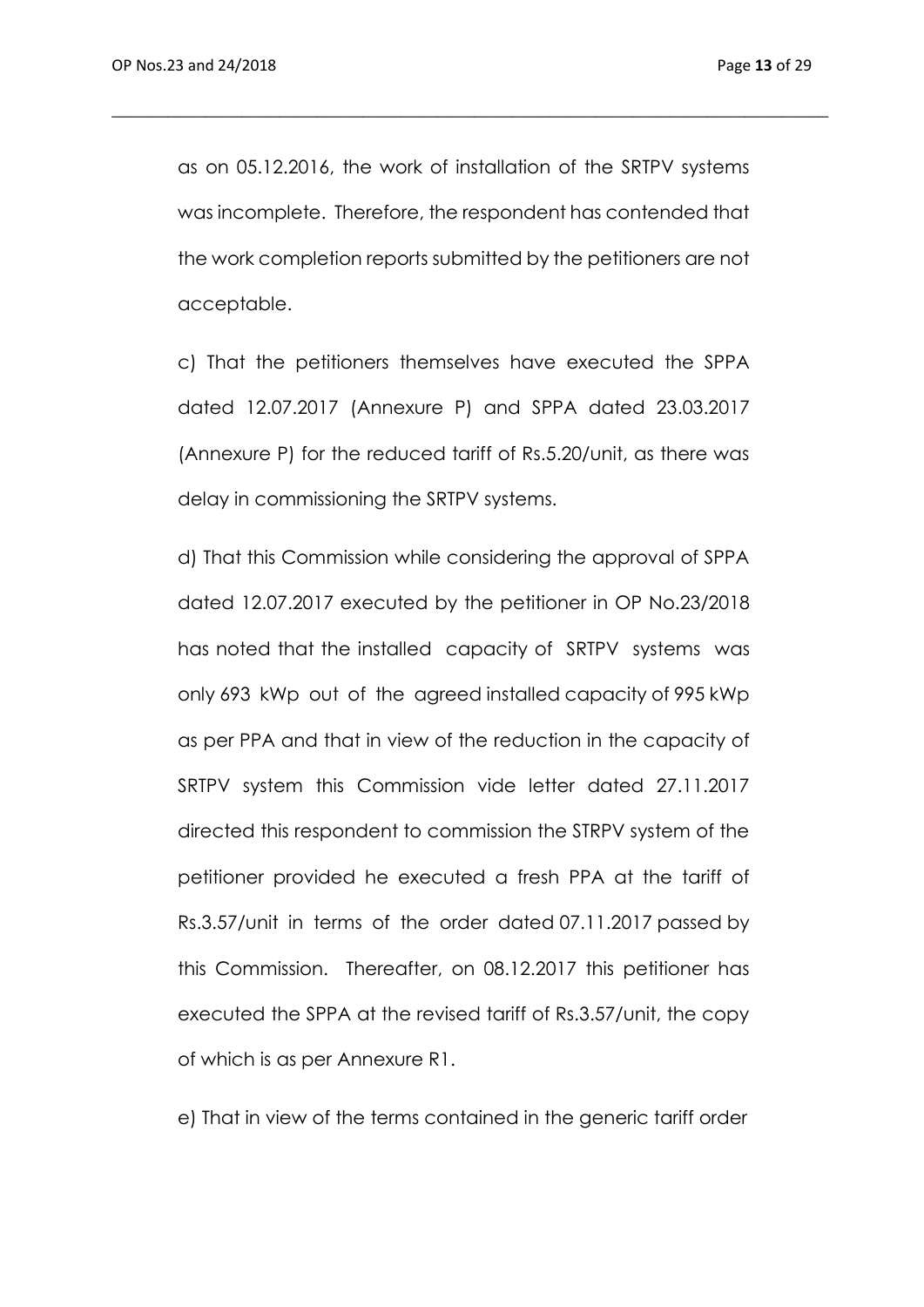as on 05.12.2016, the work of installation of the SRTPV systems was incomplete. Therefore, the respondent has contended that the work completion reports submitted by the petitioners are not acceptable.

\_\_\_\_\_\_\_\_\_\_\_\_\_\_\_\_\_\_\_\_\_\_\_\_\_\_\_\_\_\_\_\_\_\_\_\_\_\_\_\_\_\_\_\_\_\_\_\_\_\_\_\_\_\_\_\_\_\_\_\_\_\_\_\_\_\_\_\_\_\_\_\_\_\_\_\_\_

c) That the petitioners themselves have executed the SPPA dated 12.07.2017 (Annexure P) and SPPA dated 23.03.2017 (Annexure P) for the reduced tariff of Rs.5.20/unit, as there was delay in commissioning the SRTPV systems.

d) That this Commission while considering the approval of SPPA dated 12.07.2017 executed by the petitioner in OP No.23/2018 has noted that the installed capacity of SRTPV systems was only 693 kWp out of the agreed installed capacity of 995 kWp as per PPA and that in view of the reduction in the capacity of SRTPV system this Commission vide letter dated 27.11.2017 directed this respondent to commission the STRPV system of the petitioner provided he executed a fresh PPA at the tariff of Rs.3.57/unit in terms of the order dated 07.11.2017 passed by this Commission. Thereafter, on 08.12.2017 this petitioner has executed the SPPA at the revised tariff of Rs.3.57/unit, the copy of which is as per Annexure R1.

e) That in view of the terms contained in the generic tariff order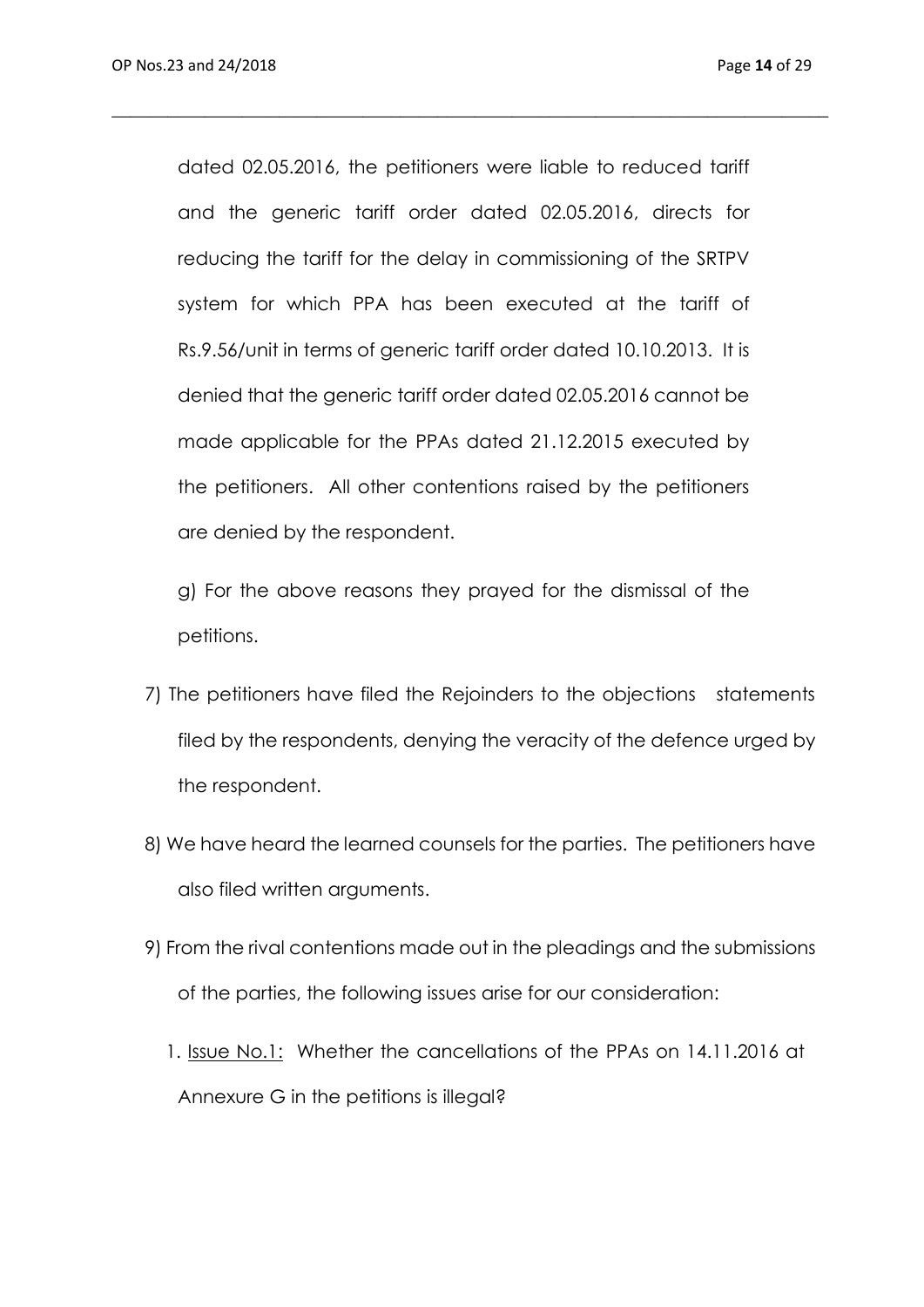dated 02.05.2016, the petitioners were liable to reduced tariff and the generic tariff order dated 02.05.2016, directs for reducing the tariff for the delay in commissioning of the SRTPV system for which PPA has been executed at the tariff of Rs.9.56/unit in terms of generic tariff order dated 10.10.2013. It is denied that the generic tariff order dated 02.05.2016 cannot be made applicable for the PPAs dated 21.12.2015 executed by the petitioners. All other contentions raised by the petitioners are denied by the respondent.

\_\_\_\_\_\_\_\_\_\_\_\_\_\_\_\_\_\_\_\_\_\_\_\_\_\_\_\_\_\_\_\_\_\_\_\_\_\_\_\_\_\_\_\_\_\_\_\_\_\_\_\_\_\_\_\_\_\_\_\_\_\_\_\_\_\_\_\_\_\_\_\_\_\_\_\_\_

g) For the above reasons they prayed for the dismissal of the petitions.

- 7) The petitioners have filed the Rejoinders to the objections statements filed by the respondents, denying the veracity of the defence urged by the respondent.
- 8) We have heard the learned counsels for the parties. The petitioners have also filed written arguments.
- 9) From the rival contentions made out in the pleadings and the submissions of the parties, the following issues arise for our consideration:
	- 1. Issue No.1: Whether the cancellations of the PPAs on 14.11.2016 at Annexure G in the petitions is illegal?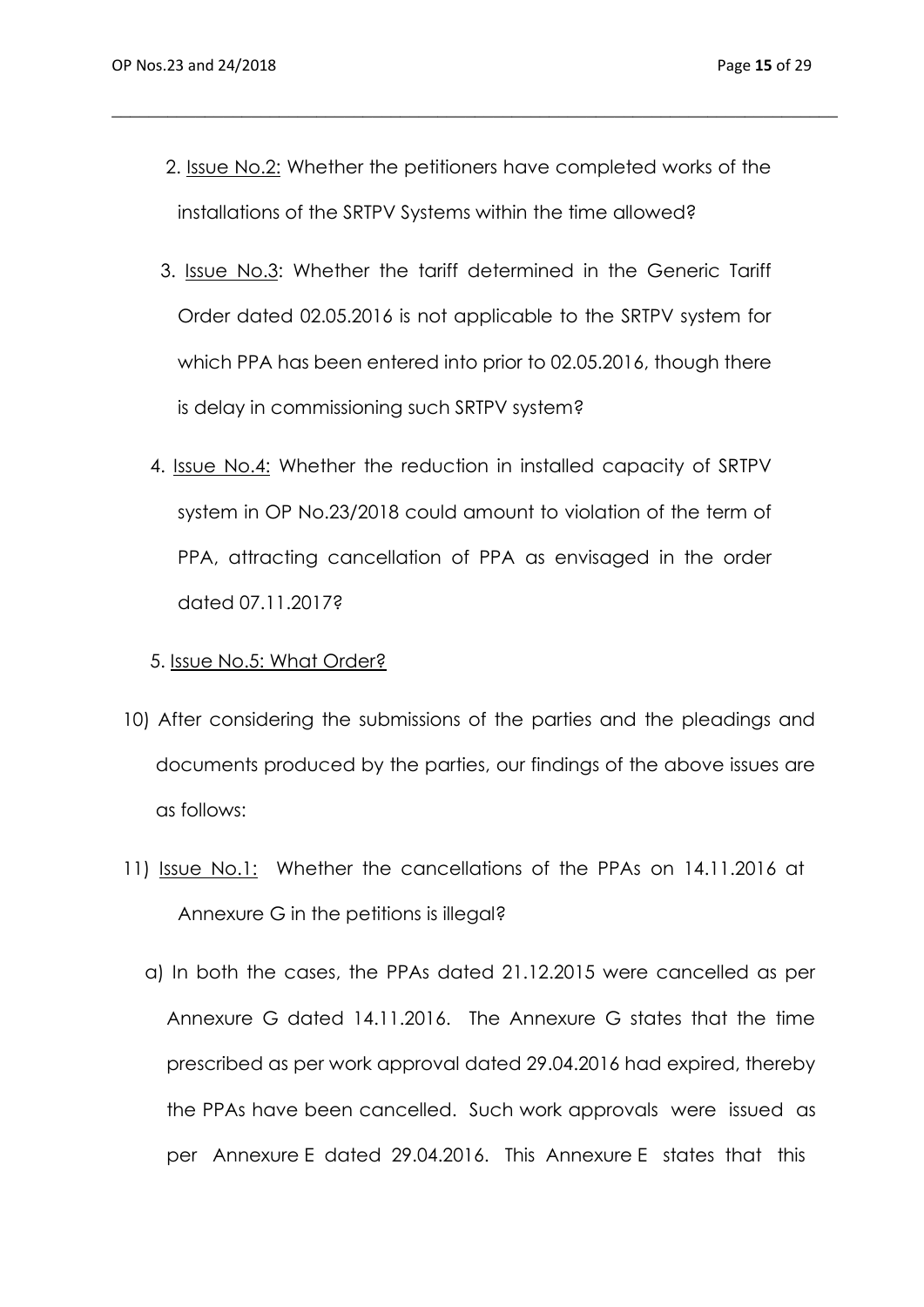2. Issue No.2: Whether the petitioners have completed works of the installations of the SRTPV Systems within the time allowed?

\_\_\_\_\_\_\_\_\_\_\_\_\_\_\_\_\_\_\_\_\_\_\_\_\_\_\_\_\_\_\_\_\_\_\_\_\_\_\_\_\_\_\_\_\_\_\_\_\_\_\_\_\_\_\_\_\_\_\_\_\_\_\_\_\_\_\_\_\_\_\_\_\_\_\_\_\_\_

- 3. Issue No.3: Whether the tariff determined in the Generic Tariff Order dated 02.05.2016 is not applicable to the SRTPV system for which PPA has been entered into prior to 02.05.2016, though there is delay in commissioning such SRTPV system?
- 4. Issue No.4: Whether the reduction in installed capacity of SRTPV system in OP No.23/2018 could amount to violation of the term of PPA, attracting cancellation of PPA as envisaged in the order dated 07.11.2017?

#### 5. Issue No.5: What Order?

- 10) After considering the submissions of the parties and the pleadings and documents produced by the parties, our findings of the above issues are as follows:
- 11) Issue No.1: Whether the cancellations of the PPAs on 14.11.2016 at Annexure G in the petitions is illegal?
	- a) In both the cases, the PPAs dated 21.12.2015 were cancelled as per Annexure G dated 14.11.2016. The Annexure G states that the time prescribed as per work approval dated 29.04.2016 had expired, thereby the PPAs have been cancelled. Such work approvals were issued as per Annexure E dated 29.04.2016. This Annexure E states that this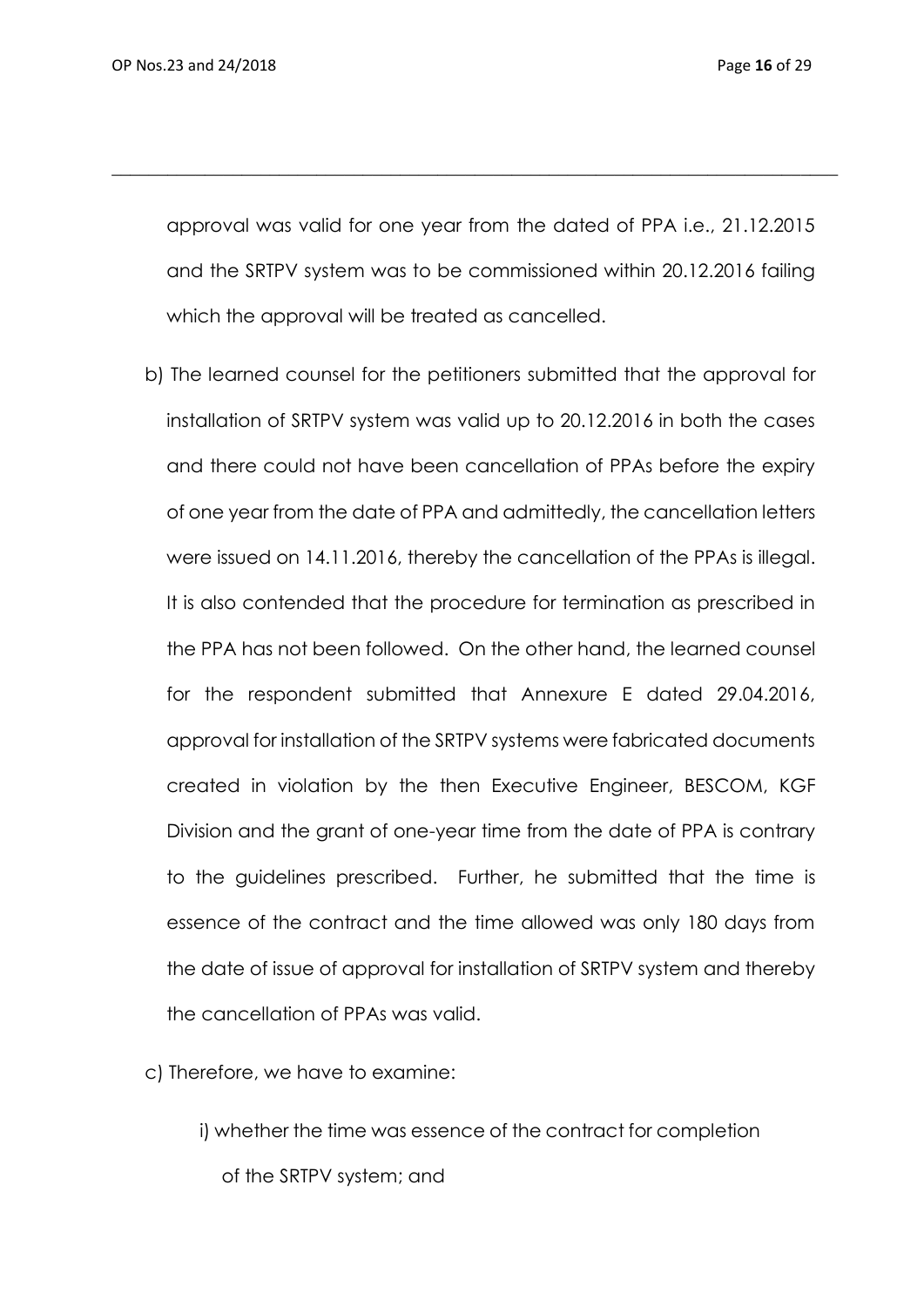approval was valid for one year from the dated of PPA i.e., 21.12.2015 and the SRTPV system was to be commissioned within 20.12.2016 failing which the approval will be treated as cancelled.

\_\_\_\_\_\_\_\_\_\_\_\_\_\_\_\_\_\_\_\_\_\_\_\_\_\_\_\_\_\_\_\_\_\_\_\_\_\_\_\_\_\_\_\_\_\_\_\_\_\_\_\_\_\_\_\_\_\_\_\_\_\_\_\_\_\_\_\_\_\_\_\_\_\_\_\_\_\_

b) The learned counsel for the petitioners submitted that the approval for installation of SRTPV system was valid up to 20.12.2016 in both the cases and there could not have been cancellation of PPAs before the expiry of one year from the date of PPA and admittedly, the cancellation letters were issued on 14.11.2016, thereby the cancellation of the PPAs is illegal. It is also contended that the procedure for termination as prescribed in the PPA has not been followed. On the other hand, the learned counsel for the respondent submitted that Annexure E dated 29.04.2016, approval for installation of the SRTPV systems were fabricated documents created in violation by the then Executive Engineer, BESCOM, KGF Division and the grant of one-year time from the date of PPA is contrary to the guidelines prescribed. Further, he submitted that the time is essence of the contract and the time allowed was only 180 days from the date of issue of approval for installation of SRTPV system and thereby the cancellation of PPAs was valid.

c) Therefore, we have to examine:

i) whether the time was essence of the contract for completion of the SRTPV system; and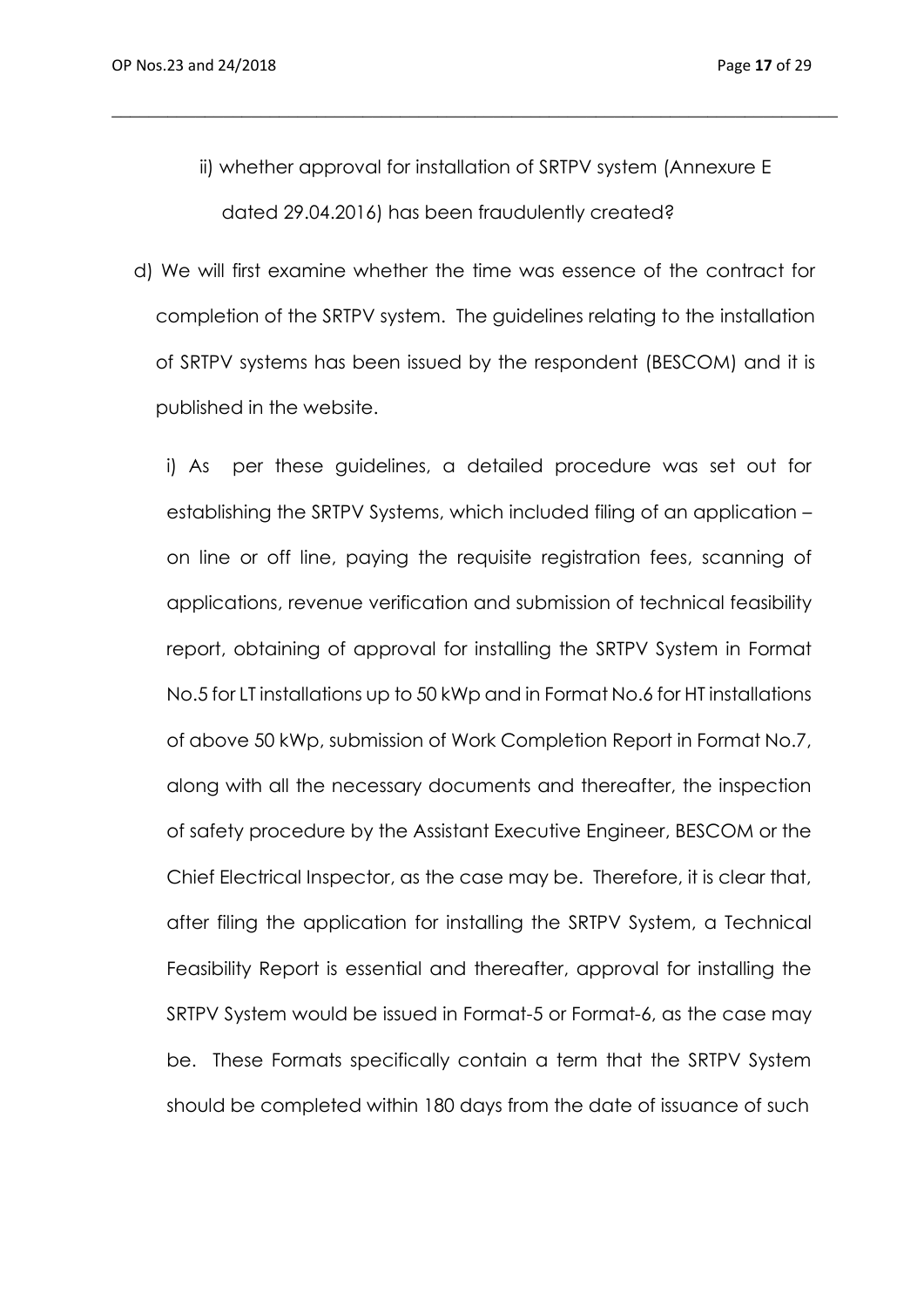ii) whether approval for installation of SRTPV system (Annexure E dated 29.04.2016) has been fraudulently created?

\_\_\_\_\_\_\_\_\_\_\_\_\_\_\_\_\_\_\_\_\_\_\_\_\_\_\_\_\_\_\_\_\_\_\_\_\_\_\_\_\_\_\_\_\_\_\_\_\_\_\_\_\_\_\_\_\_\_\_\_\_\_\_\_\_\_\_\_\_\_\_\_\_\_\_\_\_\_

d) We will first examine whether the time was essence of the contract for completion of the SRTPV system. The guidelines relating to the installation of SRTPV systems has been issued by the respondent (BESCOM) and it is published in the website.

i) As per these guidelines, a detailed procedure was set out for establishing the SRTPV Systems, which included filing of an application – on line or off line, paying the requisite registration fees, scanning of applications, revenue verification and submission of technical feasibility report, obtaining of approval for installing the SRTPV System in Format No.5 for LT installations up to 50 kWp and in Format No.6 for HT installations of above 50 kWp, submission of Work Completion Report in Format No.7, along with all the necessary documents and thereafter, the inspection of safety procedure by the Assistant Executive Engineer, BESCOM or the Chief Electrical Inspector, as the case may be. Therefore, it is clear that, after filing the application for installing the SRTPV System, a Technical Feasibility Report is essential and thereafter, approval for installing the SRTPV System would be issued in Format-5 or Format-6, as the case may be. These Formats specifically contain a term that the SRTPV System should be completed within 180 days from the date of issuance of such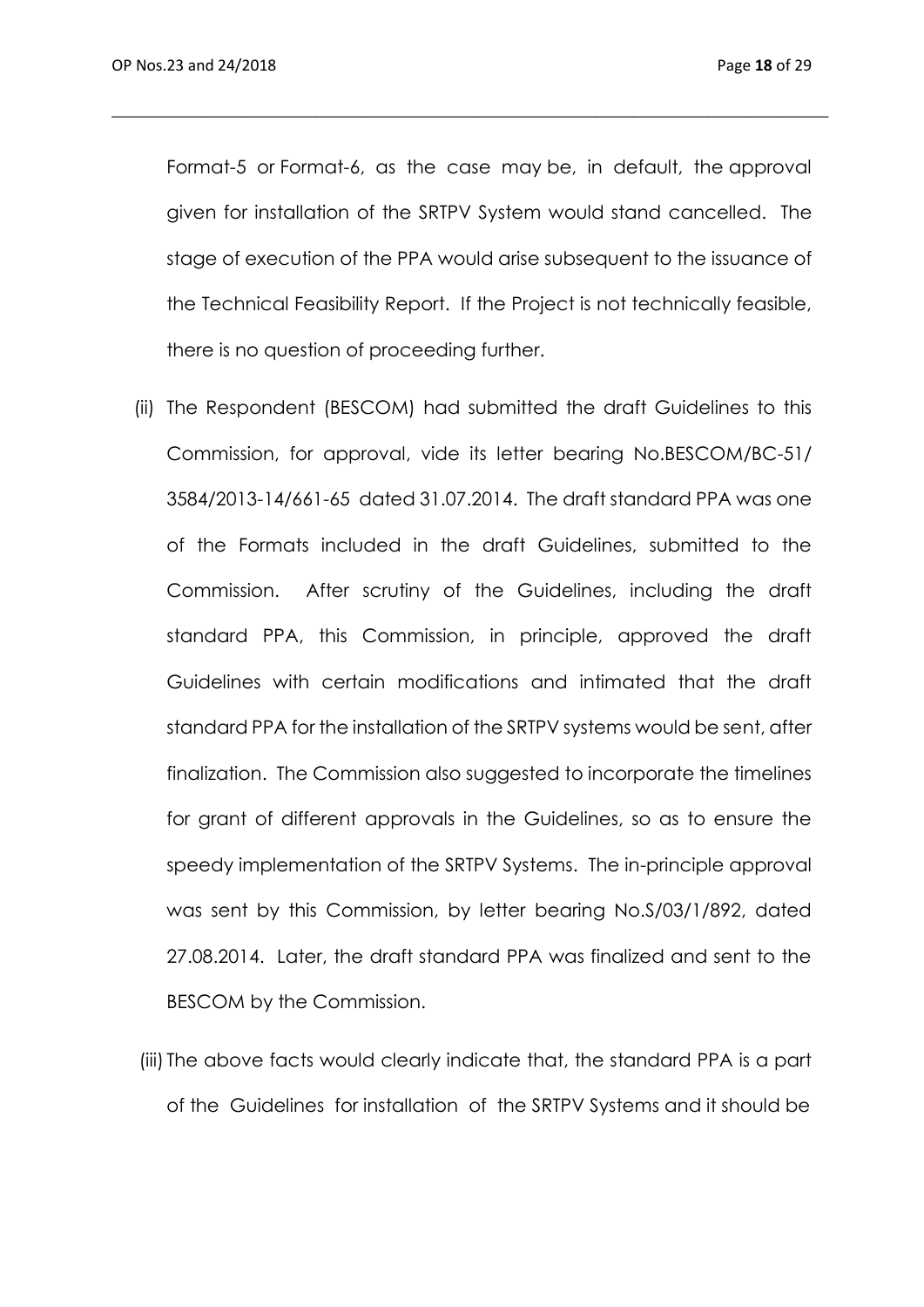Format-5 or Format-6, as the case may be, in default, the approval given for installation of the SRTPV System would stand cancelled. The stage of execution of the PPA would arise subsequent to the issuance of the Technical Feasibility Report. If the Project is not technically feasible, there is no question of proceeding further.

\_\_\_\_\_\_\_\_\_\_\_\_\_\_\_\_\_\_\_\_\_\_\_\_\_\_\_\_\_\_\_\_\_\_\_\_\_\_\_\_\_\_\_\_\_\_\_\_\_\_\_\_\_\_\_\_\_\_\_\_\_\_\_\_\_\_\_\_\_\_\_\_\_\_\_\_\_

- (ii) The Respondent (BESCOM) had submitted the draft Guidelines to this Commission, for approval, vide its letter bearing No.BESCOM/BC-51/ 3584/2013-14/661-65 dated 31.07.2014. The draft standard PPA was one of the Formats included in the draft Guidelines, submitted to the Commission. After scrutiny of the Guidelines, including the draft standard PPA, this Commission, in principle, approved the draft Guidelines with certain modifications and intimated that the draft standard PPA for the installation of the SRTPV systems would be sent, after finalization. The Commission also suggested to incorporate the timelines for grant of different approvals in the Guidelines, so as to ensure the speedy implementation of the SRTPV Systems. The in-principle approval was sent by this Commission, by letter bearing No.S/03/1/892, dated 27.08.2014. Later, the draft standard PPA was finalized and sent to the BESCOM by the Commission.
- (iii) The above facts would clearly indicate that, the standard PPA is a part of the Guidelines for installation of the SRTPV Systems and it should be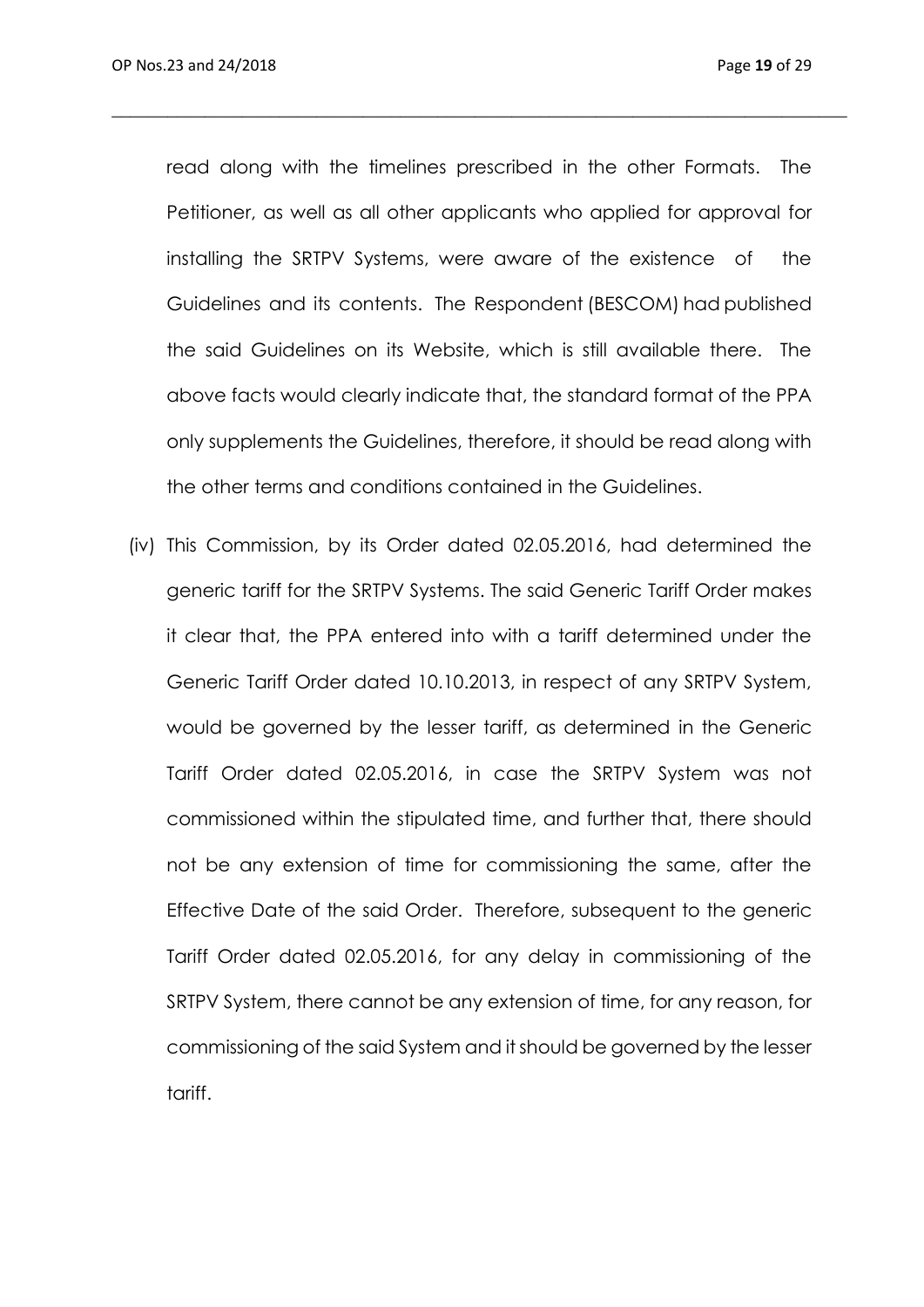read along with the timelines prescribed in the other Formats. The Petitioner, as well as all other applicants who applied for approval for installing the SRTPV Systems, were aware of the existence of the Guidelines and its contents. The Respondent (BESCOM) had published the said Guidelines on its Website, which is still available there. The above facts would clearly indicate that, the standard format of the PPA only supplements the Guidelines, therefore, it should be read along with the other terms and conditions contained in the Guidelines.

 $\_$  , and the set of the set of the set of the set of the set of the set of the set of the set of the set of the set of the set of the set of the set of the set of the set of the set of the set of the set of the set of th

(iv) This Commission, by its Order dated 02.05.2016, had determined the generic tariff for the SRTPV Systems. The said Generic Tariff Order makes it clear that, the PPA entered into with a tariff determined under the Generic Tariff Order dated 10.10.2013, in respect of any SRTPV System, would be governed by the lesser tariff, as determined in the Generic Tariff Order dated 02.05.2016, in case the SRTPV System was not commissioned within the stipulated time, and further that, there should not be any extension of time for commissioning the same, after the Effective Date of the said Order. Therefore, subsequent to the generic Tariff Order dated 02.05.2016, for any delay in commissioning of the SRTPV System, there cannot be any extension of time, for any reason, for commissioning of the said System and it should be governed by the lesser tariff.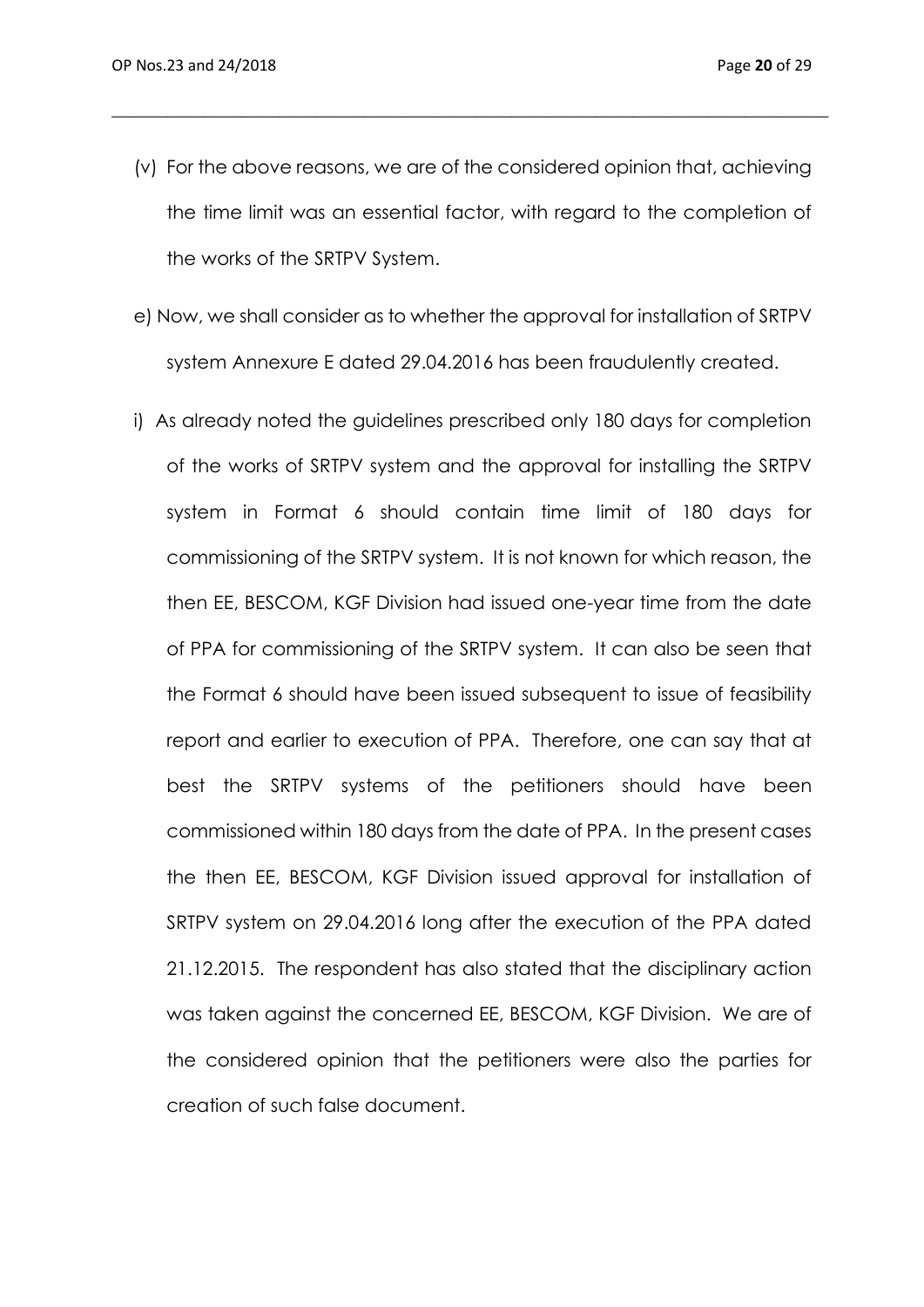(v) For the above reasons, we are of the considered opinion that, achieving the time limit was an essential factor, with regard to the completion of the works of the SRTPV System.

\_\_\_\_\_\_\_\_\_\_\_\_\_\_\_\_\_\_\_\_\_\_\_\_\_\_\_\_\_\_\_\_\_\_\_\_\_\_\_\_\_\_\_\_\_\_\_\_\_\_\_\_\_\_\_\_\_\_\_\_\_\_\_\_\_\_\_\_\_\_\_\_\_\_\_\_\_

- e) Now, we shall consider as to whether the approval for installation of SRTPV system Annexure E dated 29.04.2016 has been fraudulently created.
- i) As already noted the guidelines prescribed only 180 days for completion of the works of SRTPV system and the approval for installing the SRTPV system in Format 6 should contain time limit of 180 days for commissioning of the SRTPV system. It is not known for which reason, the then EE, BESCOM, KGF Division had issued one-year time from the date of PPA for commissioning of the SRTPV system. It can also be seen that the Format 6 should have been issued subsequent to issue of feasibility report and earlier to execution of PPA. Therefore, one can say that at best the SRTPV systems of the petitioners should have been commissioned within 180 days from the date of PPA. In the present cases the then EE, BESCOM, KGF Division issued approval for installation of SRTPV system on 29.04.2016 long after the execution of the PPA dated 21.12.2015. The respondent has also stated that the disciplinary action was taken against the concerned EE, BESCOM, KGF Division. We are of the considered opinion that the petitioners were also the parties for creation of such false document.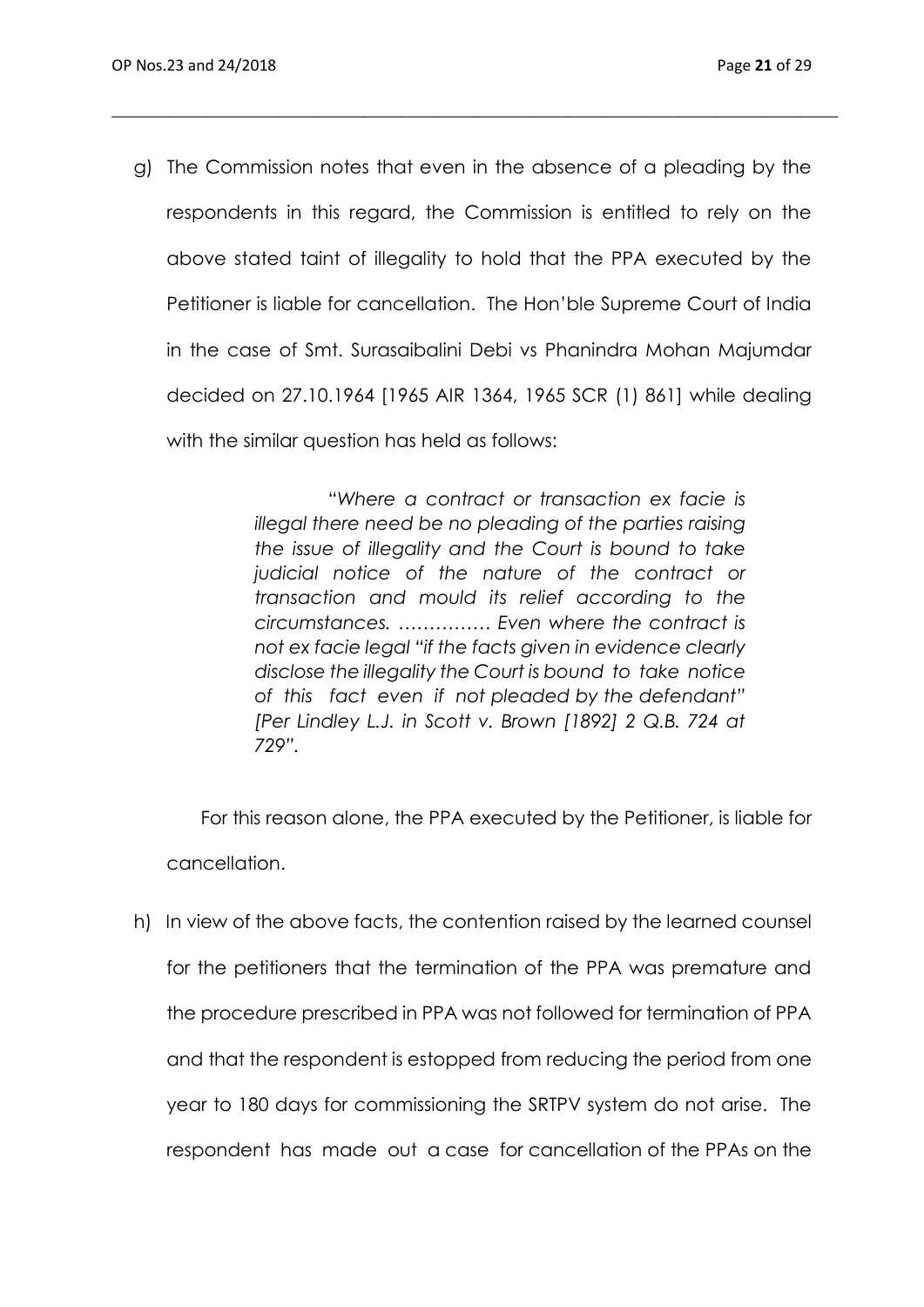g) The Commission notes that even in the absence of a pleading by the respondents in this regard, the Commission is entitled to rely on the above stated taint of illegality to hold that the PPA executed by the Petitioner is liable for cancellation. The Hon'ble Supreme Court of India in the case of Smt. Surasaibalini Debi vs Phanindra Mohan Majumdar decided on 27.10.1964 [1965 AIR 1364, 1965 SCR (1) 861] while dealing with the similar question has held as follows:

\_\_\_\_\_\_\_\_\_\_\_\_\_\_\_\_\_\_\_\_\_\_\_\_\_\_\_\_\_\_\_\_\_\_\_\_\_\_\_\_\_\_\_\_\_\_\_\_\_\_\_\_\_\_\_\_\_\_\_\_\_\_\_\_\_\_\_\_\_\_\_\_\_\_\_\_\_\_

 "*Where a contract or transaction ex facie is illegal there need be no pleading of the parties raising the issue of illegality and the Court is bound to take judicial notice of the nature of the contract or transaction and mould its relief according to the circumstances. …………… Even where the contract is not ex facie legal "if the facts given in evidence clearly disclose the illegality the Court is bound to take notice of this fact even if not pleaded by the defendant" [Per Lindley L.J. in Scott v. Brown [1892] 2 Q.B. 724 at 729".*

 For this reason alone, the PPA executed by the Petitioner, is liable for cancellation.

h) In view of the above facts, the contention raised by the learned counsel for the petitioners that the termination of the PPA was premature and the procedure prescribed in PPA was not followed for termination of PPA and that the respondent is estopped from reducing the period from one year to 180 days for commissioning the SRTPV system do not arise. The respondent has made out a case for cancellation of the PPAs on the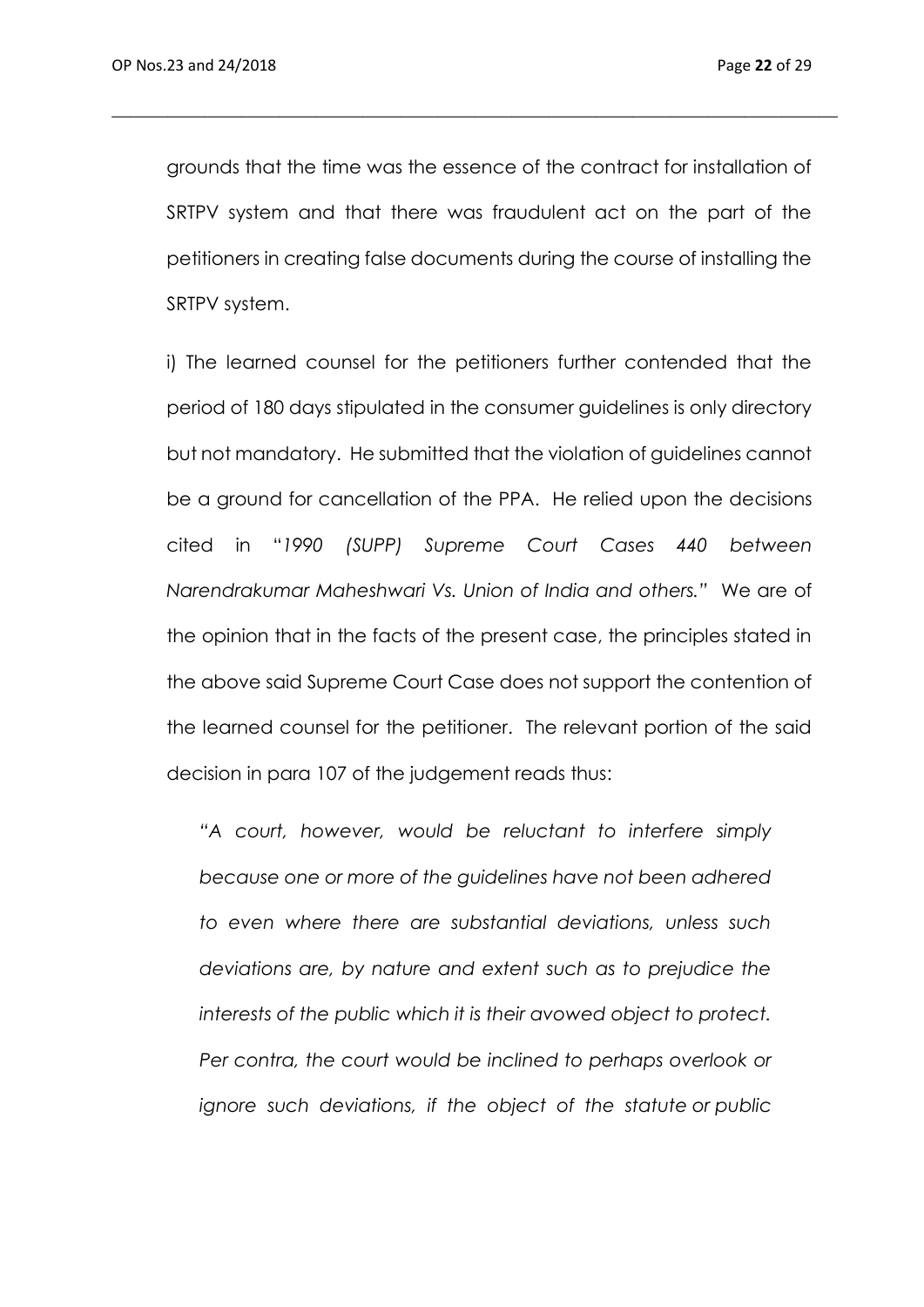grounds that the time was the essence of the contract for installation of SRTPV system and that there was fraudulent act on the part of the petitioners in creating false documents during the course of installing the SRTPV system.

\_\_\_\_\_\_\_\_\_\_\_\_\_\_\_\_\_\_\_\_\_\_\_\_\_\_\_\_\_\_\_\_\_\_\_\_\_\_\_\_\_\_\_\_\_\_\_\_\_\_\_\_\_\_\_\_\_\_\_\_\_\_\_\_\_\_\_\_\_\_\_\_\_\_\_\_\_\_

i) The learned counsel for the petitioners further contended that the period of 180 days stipulated in the consumer guidelines is only directory but not mandatory. He submitted that the violation of guidelines cannot be a ground for cancellation of the PPA. He relied upon the decisions cited in "*1990 (SUPP) Supreme Court Cases 440 between Narendrakumar Maheshwari Vs. Union of India and others."* We are of the opinion that in the facts of the present case, the principles stated in the above said Supreme Court Case does not support the contention of the learned counsel for the petitioner. The relevant portion of the said decision in para 107 of the judgement reads thus:

*"A court, however, would be reluctant to interfere simply because one or more of the guidelines have not been adhered to even where there are substantial deviations, unless such deviations are, by nature and extent such as to prejudice the interests of the public which it is their avowed object to protect. Per contra, the court would be inclined to perhaps overlook or ignore such deviations, if the object of the statute or public*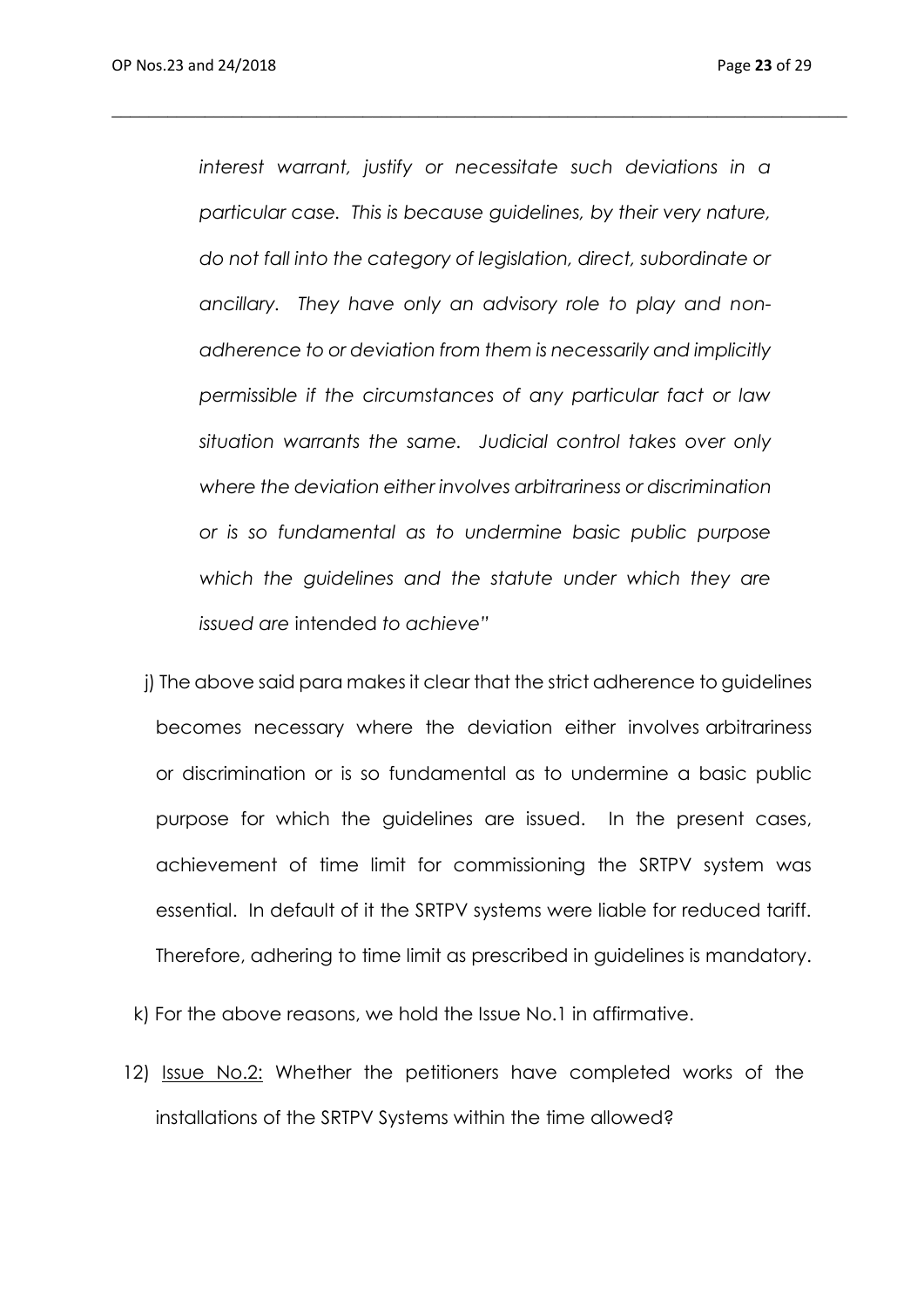*interest warrant, justify or necessitate such deviations in a particular case. This is because guidelines, by their very nature, do not fall into the category of legislation, direct, subordinate or ancillary. They have only an advisory role to play and nonadherence to or deviation from them is necessarily and implicitly permissible if the circumstances of any particular fact or law situation warrants the same. Judicial control takes over only where the deviation either involves arbitrariness or discrimination or is so fundamental as to undermine basic public purpose which the guidelines and the statute under which they are issued are* intended *to achieve"*

*\_\_\_\_\_\_\_\_\_\_\_\_\_\_\_\_\_\_\_\_\_\_\_\_\_\_\_\_\_\_\_\_\_\_\_\_\_\_\_\_\_\_\_\_\_\_\_\_\_\_\_\_\_\_\_\_\_\_\_\_\_\_\_\_\_\_\_\_\_\_\_\_\_\_\_\_\_\_\_*

- j) The above said para makes it clear that the strict adherence to guidelines becomes necessary where the deviation either involves arbitrariness or discrimination or is so fundamental as to undermine a basic public purpose for which the guidelines are issued. In the present cases, achievement of time limit for commissioning the SRTPV system was essential. In default of it the SRTPV systems were liable for reduced tariff. Therefore, adhering to time limit as prescribed in guidelines is mandatory.
- k) For the above reasons, we hold the Issue No.1 in affirmative.
- 12) Issue No.2: Whether the petitioners have completed works of the installations of the SRTPV Systems within the time allowed?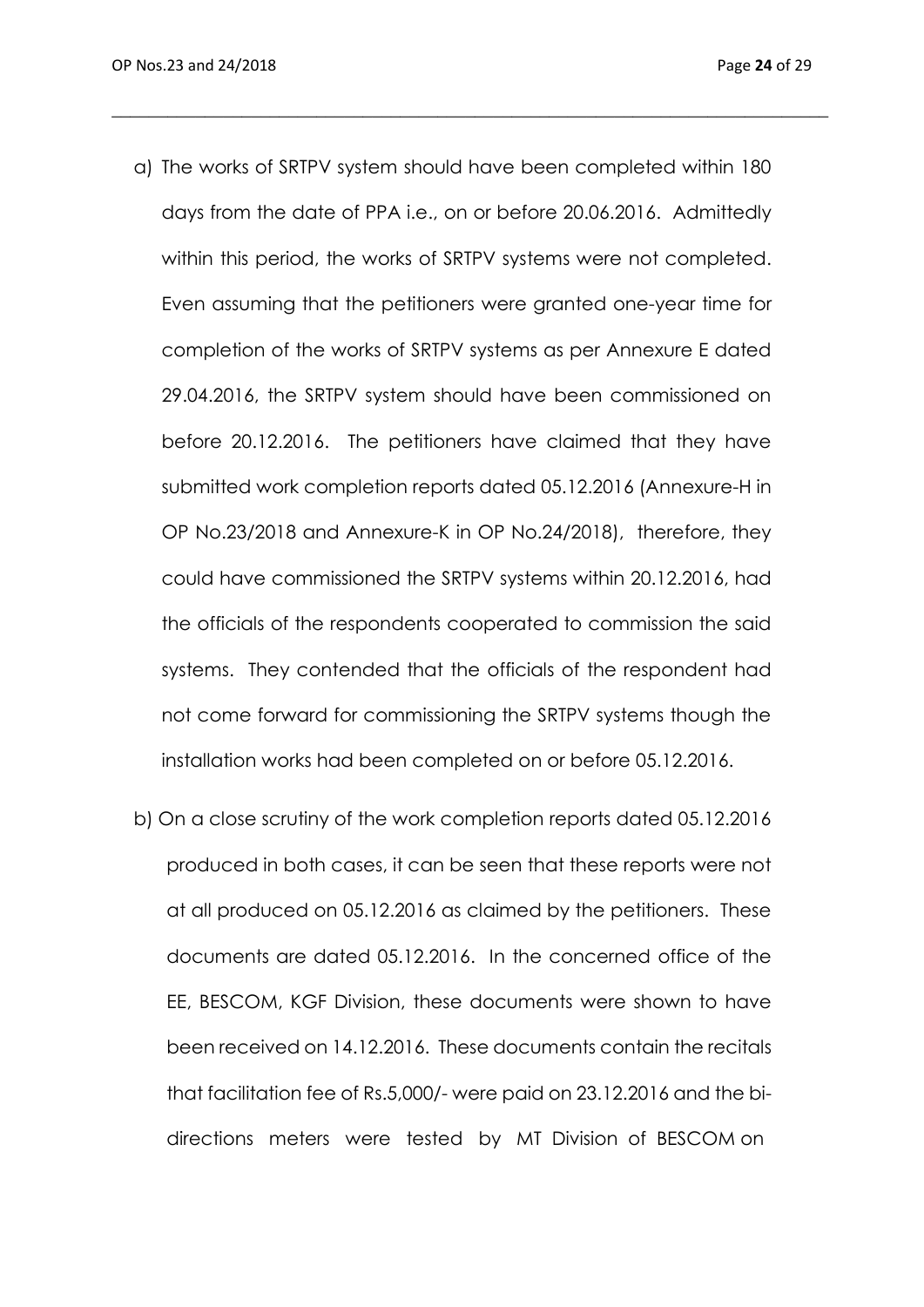a) The works of SRTPV system should have been completed within 180 days from the date of PPA i.e., on or before 20.06.2016. Admittedly within this period, the works of SRTPV systems were not completed. Even assuming that the petitioners were granted one-year time for completion of the works of SRTPV systems as per Annexure E dated 29.04.2016, the SRTPV system should have been commissioned on before 20.12.2016. The petitioners have claimed that they have submitted work completion reports dated 05.12.2016 (Annexure-H in OP No.23/2018 and Annexure-K in OP No.24/2018), therefore, they could have commissioned the SRTPV systems within 20.12.2016, had the officials of the respondents cooperated to commission the said systems. They contended that the officials of the respondent had not come forward for commissioning the SRTPV systems though the installation works had been completed on or before 05.12.2016.

\_\_\_\_\_\_\_\_\_\_\_\_\_\_\_\_\_\_\_\_\_\_\_\_\_\_\_\_\_\_\_\_\_\_\_\_\_\_\_\_\_\_\_\_\_\_\_\_\_\_\_\_\_\_\_\_\_\_\_\_\_\_\_\_\_\_\_\_\_\_\_\_\_\_\_\_\_

b) On a close scrutiny of the work completion reports dated 05.12.2016 produced in both cases, it can be seen that these reports were not at all produced on 05.12.2016 as claimed by the petitioners. These documents are dated 05.12.2016. In the concerned office of the EE, BESCOM, KGF Division, these documents were shown to have been received on 14.12.2016. These documents contain the recitals that facilitation fee of Rs.5,000/- were paid on 23.12.2016 and the bidirections meters were tested by MT Division of BESCOM on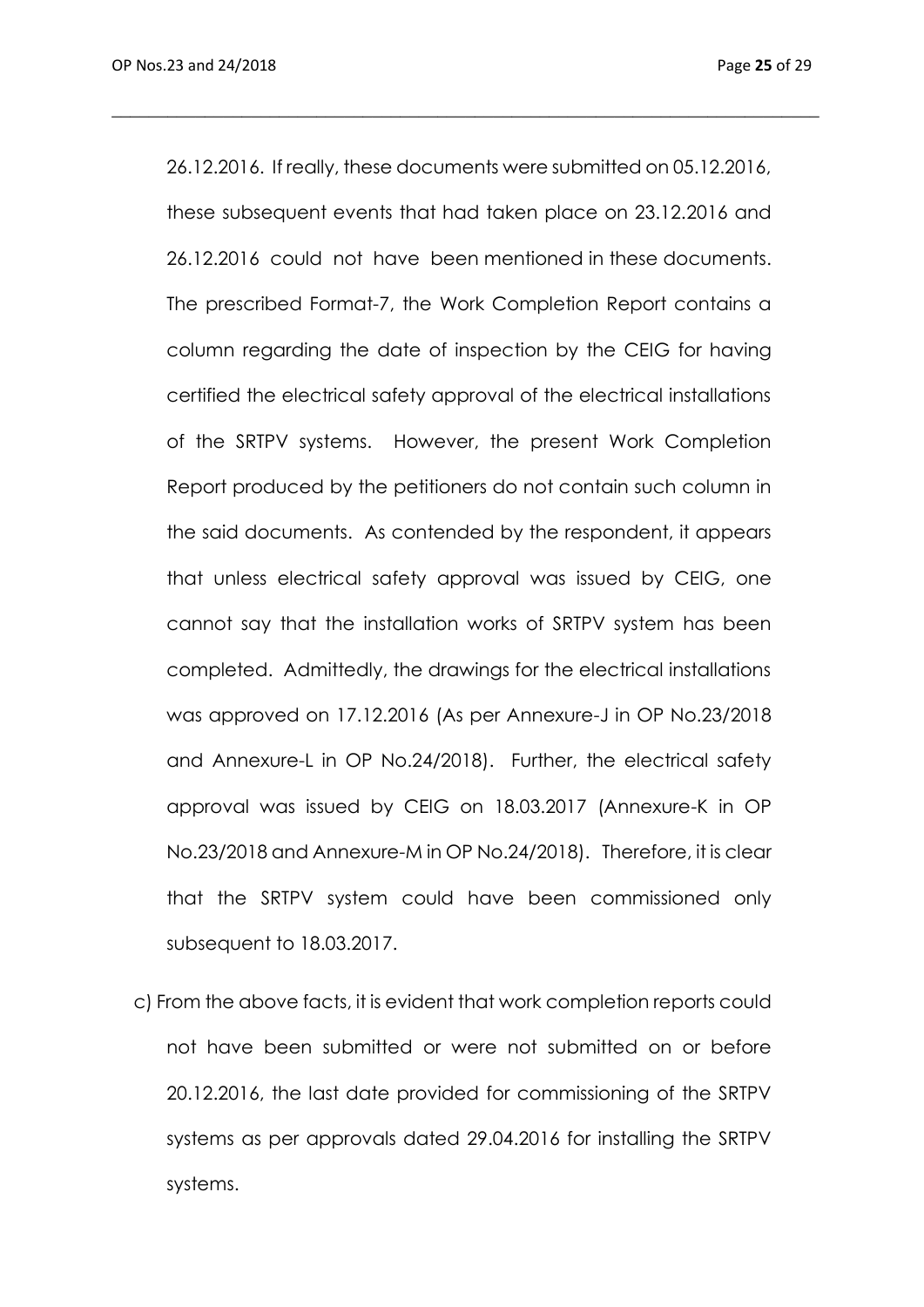26.12.2016. If really, these documents were submitted on 05.12.2016, these subsequent events that had taken place on 23.12.2016 and 26.12.2016 could not have been mentioned in these documents. The prescribed Format-7, the Work Completion Report contains a column regarding the date of inspection by the CEIG for having certified the electrical safety approval of the electrical installations of the SRTPV systems. However, the present Work Completion Report produced by the petitioners do not contain such column in the said documents. As contended by the respondent, it appears that unless electrical safety approval was issued by CEIG, one cannot say that the installation works of SRTPV system has been completed. Admittedly, the drawings for the electrical installations was approved on 17.12.2016 (As per Annexure-J in OP No.23/2018 and Annexure-L in OP No.24/2018). Further, the electrical safety approval was issued by CEIG on 18.03.2017 (Annexure-K in OP No.23/2018 and Annexure-M in OP No.24/2018). Therefore, it is clear that the SRTPV system could have been commissioned only subsequent to 18.03.2017.

\_\_\_\_\_\_\_\_\_\_\_\_\_\_\_\_\_\_\_\_\_\_\_\_\_\_\_\_\_\_\_\_\_\_\_\_\_\_\_\_\_\_\_\_\_\_\_\_\_\_\_\_\_\_\_\_\_\_\_\_\_\_\_\_\_\_\_\_\_\_\_\_\_\_\_\_

c) From the above facts, it is evident that work completion reports could not have been submitted or were not submitted on or before 20.12.2016, the last date provided for commissioning of the SRTPV systems as per approvals dated 29.04.2016 for installing the SRTPV systems.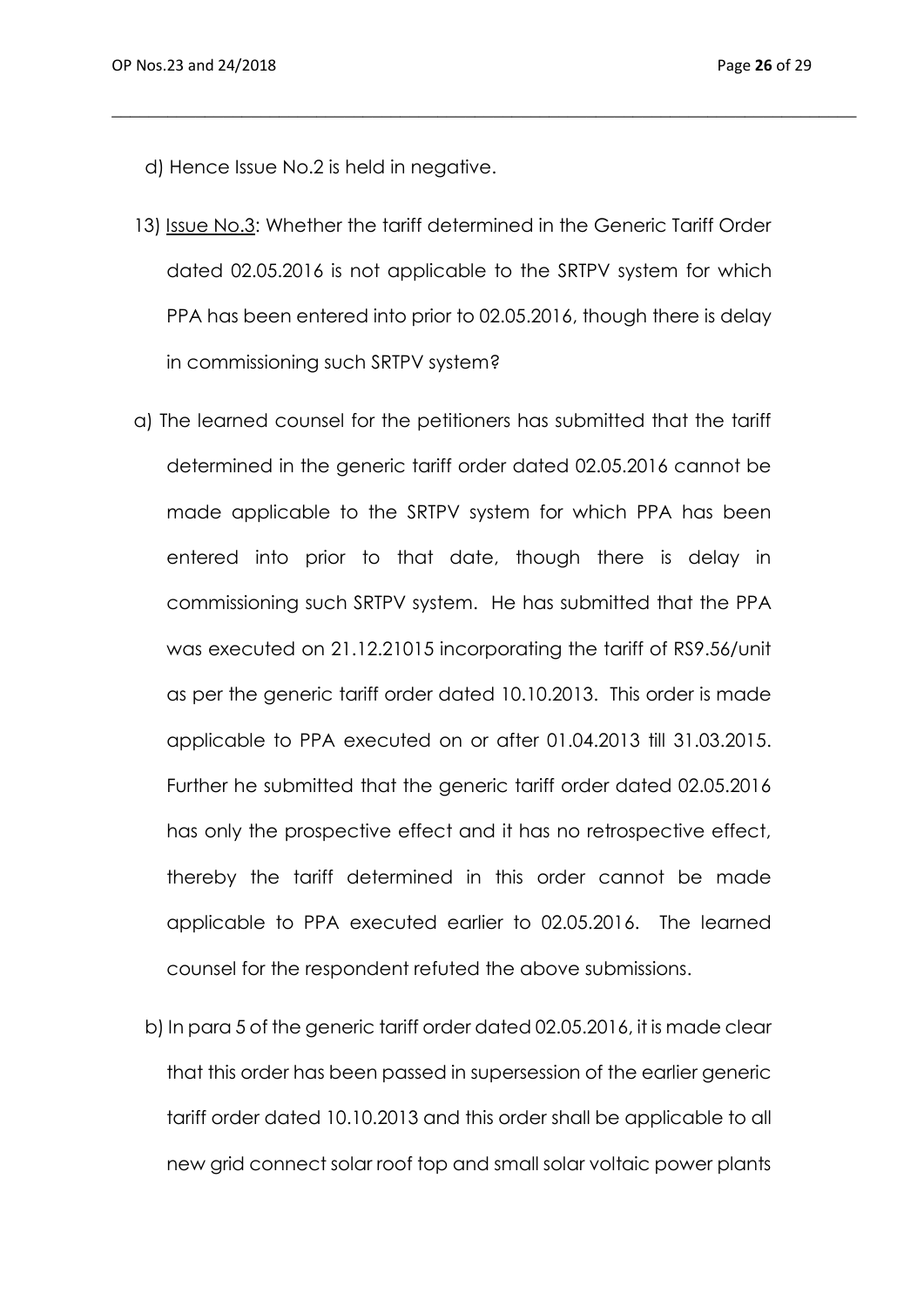d) Hence Issue No.2 is held in negative.

13) Issue No.3: Whether the tariff determined in the Generic Tariff Order dated 02.05.2016 is not applicable to the SRTPV system for which PPA has been entered into prior to 02.05.2016, though there is delay in commissioning such SRTPV system?

\_\_\_\_\_\_\_\_\_\_\_\_\_\_\_\_\_\_\_\_\_\_\_\_\_\_\_\_\_\_\_\_\_\_\_\_\_\_\_\_\_\_\_\_\_\_\_\_\_\_\_\_\_\_\_\_\_\_\_\_\_\_\_\_\_\_\_\_\_\_\_\_\_\_\_\_\_\_\_\_

- a) The learned counsel for the petitioners has submitted that the tariff determined in the generic tariff order dated 02.05.2016 cannot be made applicable to the SRTPV system for which PPA has been entered into prior to that date, though there is delay in commissioning such SRTPV system. He has submitted that the PPA was executed on 21.12.21015 incorporating the tariff of RS9.56/unit as per the generic tariff order dated 10.10.2013. This order is made applicable to PPA executed on or after 01.04.2013 till 31.03.2015. Further he submitted that the generic tariff order dated 02.05.2016 has only the prospective effect and it has no retrospective effect, thereby the tariff determined in this order cannot be made applicable to PPA executed earlier to 02.05.2016. The learned counsel for the respondent refuted the above submissions.
	- b) In para 5 of the generic tariff order dated 02.05.2016, it is made clear that this order has been passed in supersession of the earlier generic tariff order dated 10.10.2013 and this order shall be applicable to all new grid connect solar roof top and small solar voltaic power plants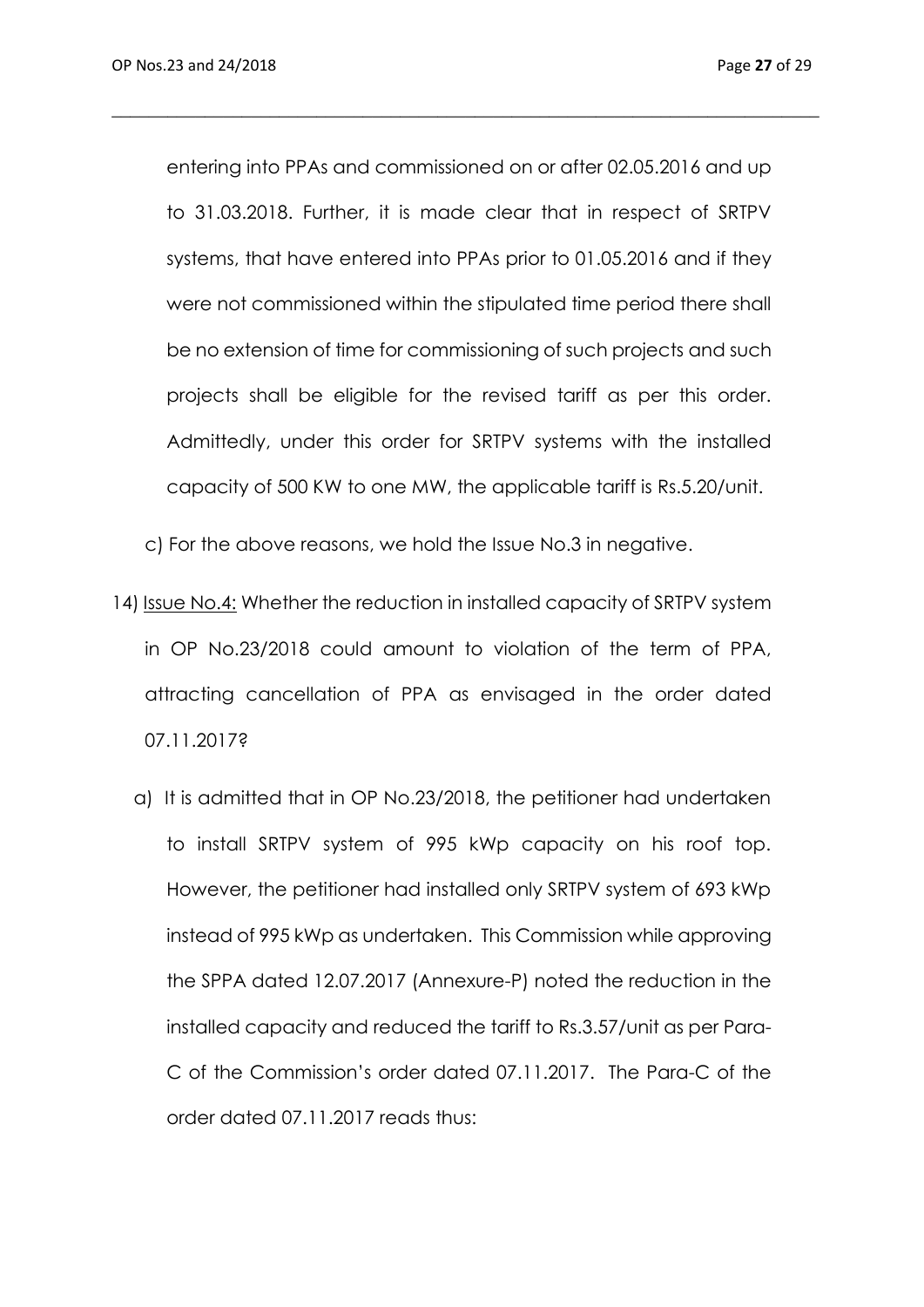entering into PPAs and commissioned on or after 02.05.2016 and up to 31.03.2018. Further, it is made clear that in respect of SRTPV systems, that have entered into PPAs prior to 01.05.2016 and if they were not commissioned within the stipulated time period there shall be no extension of time for commissioning of such projects and such projects shall be eligible for the revised tariff as per this order. Admittedly, under this order for SRTPV systems with the installed capacity of 500 KW to one MW, the applicable tariff is Rs.5.20/unit.

\_\_\_\_\_\_\_\_\_\_\_\_\_\_\_\_\_\_\_\_\_\_\_\_\_\_\_\_\_\_\_\_\_\_\_\_\_\_\_\_\_\_\_\_\_\_\_\_\_\_\_\_\_\_\_\_\_\_\_\_\_\_\_\_\_\_\_\_\_\_\_\_\_\_\_\_

c) For the above reasons, we hold the Issue No.3 in negative.

- 14) Issue No.4: Whether the reduction in installed capacity of SRTPV system in OP No.23/2018 could amount to violation of the term of PPA, attracting cancellation of PPA as envisaged in the order dated 07.11.2017?
	- a) It is admitted that in OP No.23/2018, the petitioner had undertaken to install SRTPV system of 995 kWp capacity on his roof top. However, the petitioner had installed only SRTPV system of 693 kWp instead of 995 kWp as undertaken. This Commission while approving the SPPA dated 12.07.2017 (Annexure-P) noted the reduction in the installed capacity and reduced the tariff to Rs.3.57/unit as per Para-C of the Commission's order dated 07.11.2017. The Para-C of the order dated 07.11.2017 reads thus: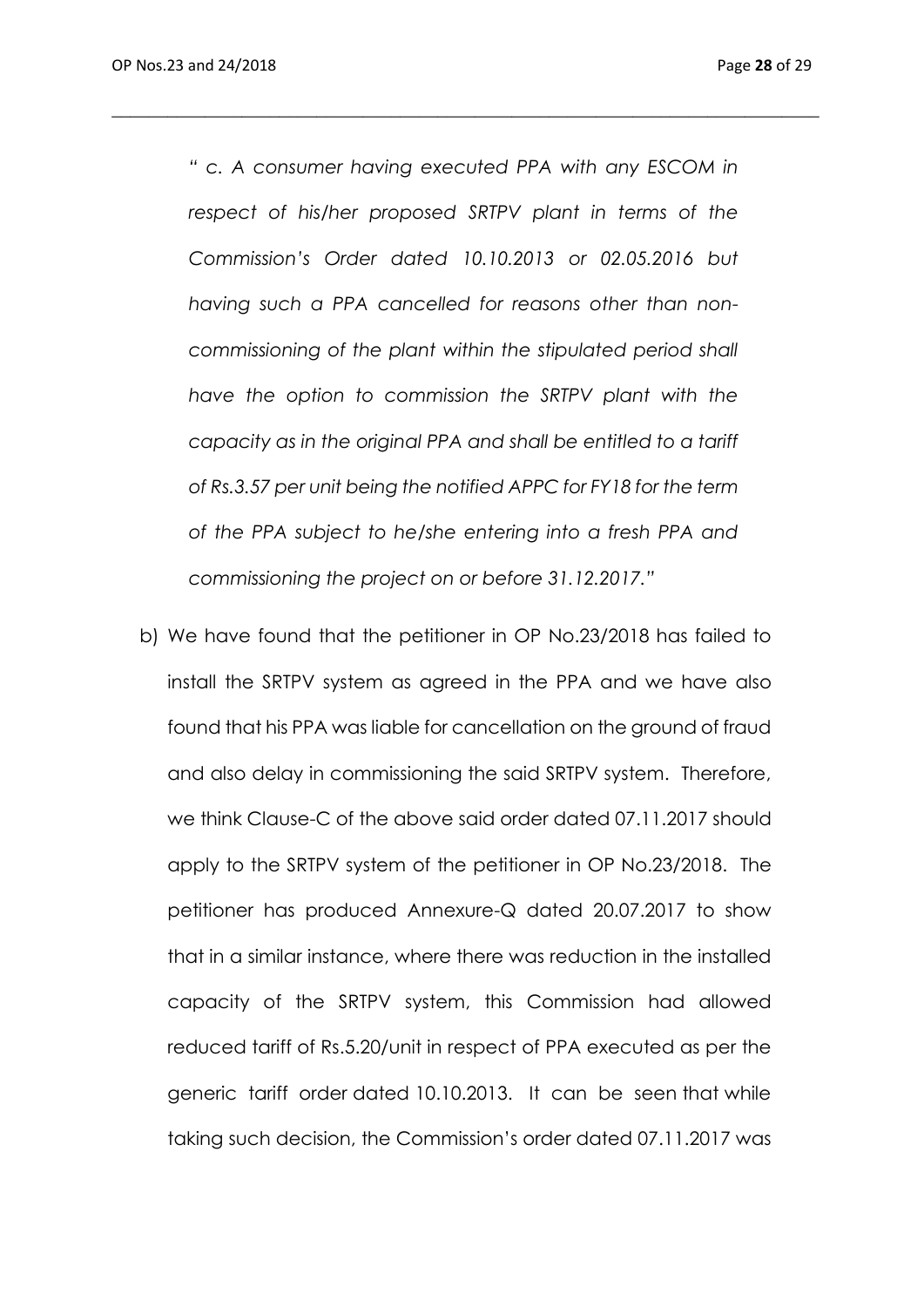*" c. A consumer having executed PPA with any ESCOM in respect of his/her proposed SRTPV plant in terms of the Commission's Order dated 10.10.2013 or 02.05.2016 but having such a PPA cancelled for reasons other than noncommissioning of the plant within the stipulated period shall have the option to commission the SRTPV plant with the capacity as in the original PPA and shall be entitled to a tariff of Rs.3.57 per unit being the notified APPC for FY18 for the term of the PPA subject to he/she entering into a fresh PPA and commissioning the project on or before 31.12.2017."*

\_\_\_\_\_\_\_\_\_\_\_\_\_\_\_\_\_\_\_\_\_\_\_\_\_\_\_\_\_\_\_\_\_\_\_\_\_\_\_\_\_\_\_\_\_\_\_\_\_\_\_\_\_\_\_\_\_\_\_\_\_\_\_\_\_\_\_\_\_\_\_\_\_\_\_\_

b) We have found that the petitioner in OP No.23/2018 has failed to install the SRTPV system as agreed in the PPA and we have also found that his PPA was liable for cancellation on the ground of fraud and also delay in commissioning the said SRTPV system. Therefore, we think Clause-C of the above said order dated 07.11.2017 should apply to the SRTPV system of the petitioner in OP No.23/2018. The petitioner has produced Annexure-Q dated 20.07.2017 to show that in a similar instance, where there was reduction in the installed capacity of the SRTPV system, this Commission had allowed reduced tariff of Rs.5.20/unit in respect of PPA executed as per the generic tariff order dated 10.10.2013. It can be seen that while taking such decision, the Commission's order dated 07.11.2017 was